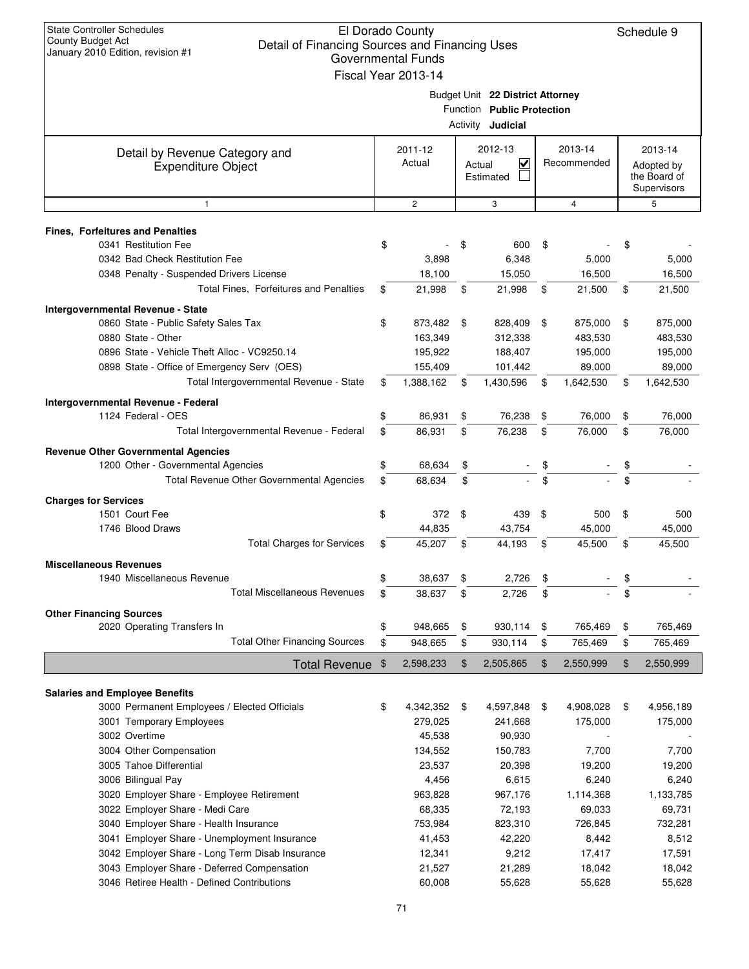| <b>State Controller Schedules</b><br><b>County Budget Act</b><br>Detail of Financing Sources and Financing Uses<br>January 2010 Edition, revision #1 | El Dorado County<br><b>Governmental Funds</b><br>Fiscal Year 2013-14 |        |                                                                                            |                 | Schedule 9                                |
|------------------------------------------------------------------------------------------------------------------------------------------------------|----------------------------------------------------------------------|--------|--------------------------------------------------------------------------------------------|-----------------|-------------------------------------------|
|                                                                                                                                                      |                                                                      |        | Budget Unit 22 District Attorney<br>Function Public Protection<br>Activity <b>Judicial</b> |                 |                                           |
| Detail by Revenue Category and                                                                                                                       | 2011-12                                                              |        | 2012-13                                                                                    | 2013-14         | 2013-14                                   |
| <b>Expenditure Object</b>                                                                                                                            | Actual                                                               | Actual | $\overline{\mathbf{v}}$<br>Estimated                                                       | Recommended     | Adopted by<br>the Board of<br>Supervisors |
| $\mathbf{1}$                                                                                                                                         | $\overline{c}$                                                       |        | 3                                                                                          | $\overline{4}$  | 5                                         |
| <b>Fines, Forfeitures and Penalties</b>                                                                                                              |                                                                      |        |                                                                                            |                 |                                           |
| 0341 Restitution Fee                                                                                                                                 | \$                                                                   | \$     | 600                                                                                        | \$              | \$                                        |
| 0342 Bad Check Restitution Fee                                                                                                                       | 3,898                                                                |        | 6,348                                                                                      | 5,000           | 5,000                                     |
| 0348 Penalty - Suspended Drivers License                                                                                                             | 18,100                                                               |        | 15,050                                                                                     | 16,500          | 16,500                                    |
| Total Fines, Forfeitures and Penalties                                                                                                               | \$<br>21,998                                                         | \$     | 21,998                                                                                     | \$<br>21,500    | \$<br>21,500                              |
| Intergovernmental Revenue - State                                                                                                                    |                                                                      |        |                                                                                            |                 |                                           |
| 0860 State - Public Safety Sales Tax                                                                                                                 | \$<br>873.482                                                        | \$     | 828,409                                                                                    | \$<br>875,000   | \$<br>875,000                             |
| 0880 State - Other                                                                                                                                   | 163,349                                                              |        | 312,338                                                                                    | 483,530         | 483,530                                   |
| 0896 State - Vehicle Theft Alloc - VC9250.14                                                                                                         | 195,922                                                              |        | 188,407                                                                                    | 195,000         | 195,000                                   |
| 0898 State - Office of Emergency Serv (OES)                                                                                                          | 155,409                                                              |        | 101,442                                                                                    | 89,000          | 89,000                                    |
| Total Intergovernmental Revenue - State                                                                                                              | \$<br>1,388,162                                                      | \$     | 1,430,596                                                                                  | \$<br>1,642,530 | \$<br>1,642,530                           |
| Intergovernmental Revenue - Federal                                                                                                                  |                                                                      |        |                                                                                            |                 |                                           |
| 1124 Federal - OES                                                                                                                                   | \$<br>86,931                                                         | \$     | 76,238                                                                                     | \$<br>76,000    | \$<br>76,000                              |
| Total Intergovernmental Revenue - Federal                                                                                                            | \$<br>86,931                                                         | \$     | 76,238                                                                                     | \$<br>76,000    | \$<br>76,000                              |
| <b>Revenue Other Governmental Agencies</b>                                                                                                           |                                                                      |        |                                                                                            |                 |                                           |
| 1200 Other - Governmental Agencies                                                                                                                   | \$<br>68,634                                                         | \$     |                                                                                            | \$              | \$                                        |
| Total Revenue Other Governmental Agencies                                                                                                            | \$<br>68,634                                                         | \$     |                                                                                            | \$              | \$                                        |
| <b>Charges for Services</b>                                                                                                                          |                                                                      |        |                                                                                            |                 |                                           |
| 1501 Court Fee                                                                                                                                       | \$<br>372                                                            | \$     | 439                                                                                        | \$<br>500       | \$<br>500                                 |
| 1746 Blood Draws                                                                                                                                     | 44,835                                                               |        | 43,754                                                                                     | 45,000          | 45,000                                    |
| <b>Total Charges for Services</b>                                                                                                                    | \$<br>45,207                                                         | \$     | 44.193                                                                                     | \$<br>45,500    | \$<br>45,500                              |
| <b>Miscellaneous Revenues</b>                                                                                                                        |                                                                      |        |                                                                                            |                 |                                           |
| 1940 Miscellaneous Revenue                                                                                                                           | \$<br>38,637                                                         | \$     | 2,726                                                                                      | \$              | \$                                        |
| <b>Total Miscellaneous Revenues</b>                                                                                                                  | \$<br>38,637                                                         | \$     | 2,726                                                                                      | \$              | \$                                        |
| <b>Other Financing Sources</b>                                                                                                                       |                                                                      |        |                                                                                            |                 |                                           |
| 2020 Operating Transfers In<br><b>Total Other Financing Sources</b>                                                                                  | \$<br>948,665                                                        | \$     | 930,114<br>930,114                                                                         | \$<br>765,469   | \$<br>765,469                             |
|                                                                                                                                                      | \$<br>948,665                                                        | \$     |                                                                                            | \$<br>765,469   | \$<br>765,469                             |
| Total Revenue \$                                                                                                                                     | 2,598,233                                                            | \$     | 2,505,865                                                                                  | \$<br>2,550,999 | \$<br>2,550,999                           |
| <b>Salaries and Employee Benefits</b>                                                                                                                |                                                                      |        |                                                                                            |                 |                                           |
| 3000 Permanent Employees / Elected Officials                                                                                                         | \$<br>4,342,352                                                      | \$     | 4,597,848                                                                                  | \$<br>4,908,028 | \$<br>4,956,189                           |
| 3001 Temporary Employees                                                                                                                             | 279,025                                                              |        | 241,668                                                                                    | 175,000         | 175,000                                   |
| 3002 Overtime                                                                                                                                        | 45,538                                                               |        | 90,930                                                                                     |                 |                                           |
| 3004 Other Compensation                                                                                                                              | 134,552                                                              |        | 150,783                                                                                    | 7,700           | 7,700                                     |
| 3005 Tahoe Differential                                                                                                                              | 23,537                                                               |        | 20,398                                                                                     | 19,200          | 19,200                                    |
| 3006 Bilingual Pay                                                                                                                                   | 4,456                                                                |        | 6,615                                                                                      | 6,240           | 6,240                                     |
| 3020 Employer Share - Employee Retirement                                                                                                            | 963,828                                                              |        | 967,176                                                                                    | 1,114,368       | 1,133,785                                 |
| 3022 Employer Share - Medi Care                                                                                                                      | 68,335                                                               |        | 72,193                                                                                     | 69,033          | 69,731                                    |
| 3040 Employer Share - Health Insurance                                                                                                               | 753,984                                                              |        | 823,310                                                                                    | 726,845         | 732,281                                   |
| 3041 Employer Share - Unemployment Insurance                                                                                                         | 41,453                                                               |        | 42,220                                                                                     | 8,442           | 8,512                                     |
| 3042 Employer Share - Long Term Disab Insurance                                                                                                      | 12,341                                                               |        | 9,212                                                                                      | 17,417          | 17,591                                    |
| 3043 Employer Share - Deferred Compensation                                                                                                          | 21,527                                                               |        | 21,289                                                                                     | 18,042          | 18,042                                    |
| 3046 Retiree Health - Defined Contributions                                                                                                          | 60,008                                                               |        | 55,628                                                                                     | 55,628          | 55,628                                    |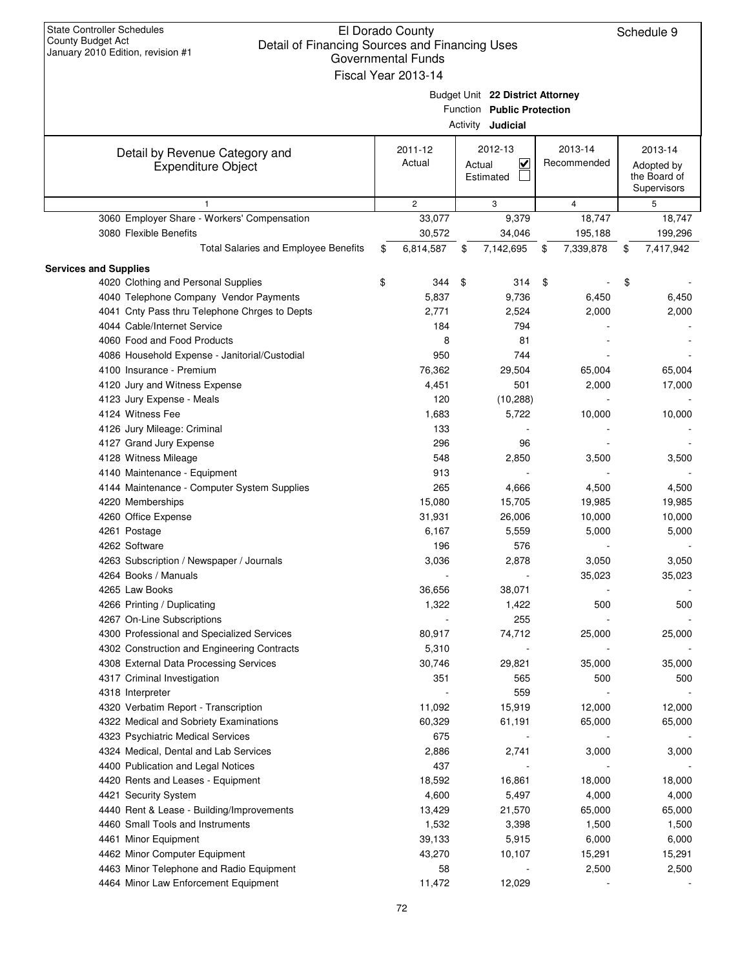| <b>State Controller Schedules</b><br><b>County Budget Act</b><br>Detail of Financing Sources and Financing Uses<br>January 2010 Edition, revision #1 | El Dorado County<br>Governmental Funds<br>Fiscal Year 2013-14 |                                                                                            |                        | Schedule 9                                           |
|------------------------------------------------------------------------------------------------------------------------------------------------------|---------------------------------------------------------------|--------------------------------------------------------------------------------------------|------------------------|------------------------------------------------------|
|                                                                                                                                                      |                                                               | Budget Unit 22 District Attorney<br>Function Public Protection<br>Activity <b>Judicial</b> |                        |                                                      |
| Detail by Revenue Category and<br><b>Expenditure Object</b>                                                                                          | 2011-12<br>Actual                                             | 2012-13<br>V<br>Actual<br>Estimated                                                        | 2013-14<br>Recommended | 2013-14<br>Adopted by<br>the Board of<br>Supervisors |
|                                                                                                                                                      | $\overline{c}$                                                | 3                                                                                          | $\overline{4}$         | 5                                                    |
| 3060 Employer Share - Workers' Compensation                                                                                                          | 33,077                                                        | 9,379                                                                                      | 18,747                 | 18,747                                               |
| 3080 Flexible Benefits                                                                                                                               | 30,572                                                        | 34,046                                                                                     | 195,188                | 199,296                                              |
| Total Salaries and Employee Benefits                                                                                                                 | \$<br>6,814,587                                               | 7,142,695<br>\$                                                                            | 7,339,878<br>\$        | \$<br>7,417,942                                      |
| <b>Services and Supplies</b>                                                                                                                         |                                                               |                                                                                            |                        |                                                      |
| 4020 Clothing and Personal Supplies                                                                                                                  | \$<br>344                                                     | 314<br>\$                                                                                  | \$                     | \$                                                   |
| 4040 Telephone Company Vendor Payments                                                                                                               | 5,837                                                         | 9,736                                                                                      | 6,450                  | 6,450                                                |
| 4041 Cnty Pass thru Telephone Chrges to Depts                                                                                                        | 2,771                                                         | 2,524                                                                                      | 2,000                  | 2,000                                                |
| 4044 Cable/Internet Service                                                                                                                          | 184                                                           | 794                                                                                        |                        |                                                      |
| 4060 Food and Food Products                                                                                                                          | 8                                                             | 81                                                                                         |                        |                                                      |
| 4086 Household Expense - Janitorial/Custodial                                                                                                        | 950                                                           | 744                                                                                        |                        |                                                      |
| 4100 Insurance - Premium                                                                                                                             | 76,362                                                        | 29,504                                                                                     | 65,004                 | 65,004                                               |
| 4120 Jury and Witness Expense                                                                                                                        | 4,451                                                         | 501                                                                                        | 2,000                  | 17,000                                               |
| 4123 Jury Expense - Meals                                                                                                                            | 120                                                           | (10, 288)                                                                                  |                        |                                                      |
| 4124 Witness Fee                                                                                                                                     | 1,683                                                         | 5,722                                                                                      | 10,000                 | 10,000                                               |
| 4126 Jury Mileage: Criminal                                                                                                                          | 133                                                           |                                                                                            |                        |                                                      |
| 4127 Grand Jury Expense                                                                                                                              | 296                                                           | 96                                                                                         |                        |                                                      |
| 4128 Witness Mileage                                                                                                                                 | 548                                                           | 2,850                                                                                      | 3,500                  | 3,500                                                |
| 4140 Maintenance - Equipment                                                                                                                         | 913                                                           |                                                                                            |                        |                                                      |
| 4144 Maintenance - Computer System Supplies                                                                                                          | 265                                                           | 4,666                                                                                      | 4,500                  | 4,500                                                |
| 4220 Memberships                                                                                                                                     | 15,080                                                        | 15,705                                                                                     | 19,985                 | 19,985                                               |
| 4260 Office Expense                                                                                                                                  | 31,931                                                        | 26,006                                                                                     | 10,000                 | 10,000                                               |
| 4261 Postage                                                                                                                                         | 6,167                                                         | 5,559                                                                                      | 5,000                  | 5,000                                                |
| 4262 Software                                                                                                                                        | 196                                                           | 576                                                                                        |                        |                                                      |
| 4263 Subscription / Newspaper / Journals                                                                                                             | 3,036                                                         | 2,878                                                                                      | 3,050                  | 3,050                                                |
| 4264 Books / Manuals                                                                                                                                 |                                                               |                                                                                            | 35,023                 | 35,023                                               |
| 4265 Law Books                                                                                                                                       | 36,656                                                        | 38,071                                                                                     |                        |                                                      |
| 4266 Printing / Duplicating                                                                                                                          | 1,322                                                         | 1,422                                                                                      | 500                    | 500                                                  |
| 4267 On-Line Subscriptions                                                                                                                           |                                                               | 255                                                                                        |                        |                                                      |
| 4300 Professional and Specialized Services                                                                                                           | 80,917                                                        | 74,712                                                                                     | 25,000                 | 25,000                                               |
| 4302 Construction and Engineering Contracts                                                                                                          | 5,310                                                         |                                                                                            |                        |                                                      |
| 4308 External Data Processing Services                                                                                                               | 30,746                                                        | 29,821                                                                                     | 35,000                 | 35,000                                               |
| 4317 Criminal Investigation                                                                                                                          | 351                                                           | 565                                                                                        | 500                    | 500                                                  |
| 4318 Interpreter                                                                                                                                     |                                                               | 559                                                                                        |                        |                                                      |
| 4320 Verbatim Report - Transcription                                                                                                                 | 11,092                                                        | 15,919                                                                                     | 12,000                 | 12,000                                               |
| 4322 Medical and Sobriety Examinations                                                                                                               | 60,329                                                        | 61,191                                                                                     | 65,000                 | 65,000                                               |
| 4323 Psychiatric Medical Services                                                                                                                    | 675                                                           |                                                                                            |                        |                                                      |
| 4324 Medical, Dental and Lab Services                                                                                                                | 2,886                                                         | 2,741                                                                                      | 3,000                  | 3,000                                                |
| 4400 Publication and Legal Notices                                                                                                                   | 437                                                           |                                                                                            |                        |                                                      |
| 4420 Rents and Leases - Equipment                                                                                                                    | 18,592                                                        | 16,861                                                                                     | 18,000                 | 18,000                                               |
| 4421 Security System                                                                                                                                 | 4,600                                                         | 5,497                                                                                      | 4,000                  | 4,000                                                |
|                                                                                                                                                      |                                                               |                                                                                            |                        |                                                      |
| 4440 Rent & Lease - Building/Improvements                                                                                                            | 13,429                                                        | 21,570                                                                                     | 65,000                 | 65,000                                               |
| 4460 Small Tools and Instruments                                                                                                                     | 1,532                                                         | 3,398                                                                                      | 1,500                  | 1,500                                                |
| 4461 Minor Equipment                                                                                                                                 | 39,133                                                        | 5,915                                                                                      | 6,000                  | 6,000                                                |
| 4462 Minor Computer Equipment                                                                                                                        | 43,270                                                        | 10,107                                                                                     | 15,291                 | 15,291                                               |
| 4463 Minor Telephone and Radio Equipment                                                                                                             | 58                                                            |                                                                                            | 2,500                  | 2,500                                                |
| 4464 Minor Law Enforcement Equipment                                                                                                                 | 11,472                                                        | 12,029                                                                                     |                        |                                                      |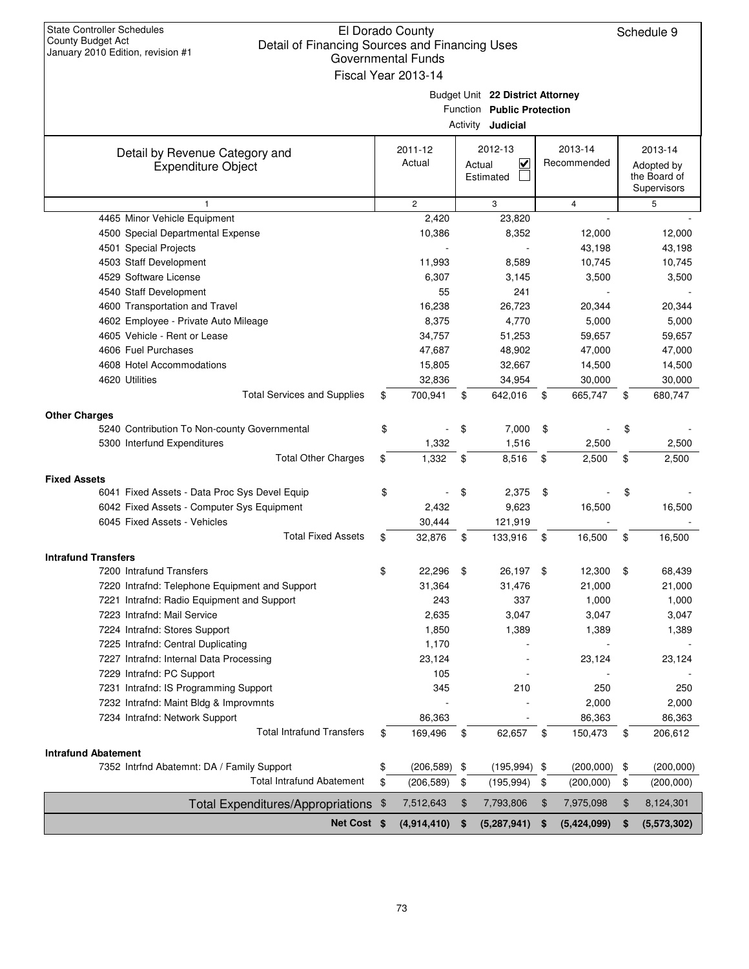| <b>State Controller Schedules</b><br><b>County Budget Act</b><br>January 2010 Edition, revision #1 | El Dorado County<br>Schedule 9<br>Detail of Financing Sources and Financing Uses<br><b>Governmental Funds</b><br>Fiscal Year 2013-14 |                  |          |                                                                            |    |                  |    |                                           |  |  |  |  |
|----------------------------------------------------------------------------------------------------|--------------------------------------------------------------------------------------------------------------------------------------|------------------|----------|----------------------------------------------------------------------------|----|------------------|----|-------------------------------------------|--|--|--|--|
|                                                                                                    |                                                                                                                                      |                  | Activity | Budget Unit 22 District Attorney<br>Function Public Protection<br>Judicial |    |                  |    |                                           |  |  |  |  |
| Detail by Revenue Category and                                                                     |                                                                                                                                      | 2011-12          |          | 2012-13                                                                    |    | 2013-14          |    | 2013-14                                   |  |  |  |  |
| <b>Expenditure Object</b>                                                                          |                                                                                                                                      | Actual           |          | $\overline{\mathsf{v}}$<br>Actual<br>Estimated                             |    | Recommended      |    | Adopted by<br>the Board of<br>Supervisors |  |  |  |  |
| $\mathbf{1}$                                                                                       |                                                                                                                                      | $\overline{c}$   |          | 3                                                                          |    | $\overline{4}$   |    | 5                                         |  |  |  |  |
| 4465 Minor Vehicle Equipment                                                                       |                                                                                                                                      | 2,420            |          | 23,820                                                                     |    |                  |    |                                           |  |  |  |  |
| 4500 Special Departmental Expense                                                                  |                                                                                                                                      | 10,386           |          | 8,352                                                                      |    | 12,000           |    | 12,000                                    |  |  |  |  |
| 4501 Special Projects                                                                              |                                                                                                                                      |                  |          |                                                                            |    | 43,198           |    | 43,198                                    |  |  |  |  |
| 4503 Staff Development                                                                             |                                                                                                                                      | 11,993           |          | 8,589                                                                      |    | 10,745           |    | 10.745                                    |  |  |  |  |
| 4529 Software License                                                                              |                                                                                                                                      | 6,307            |          | 3,145                                                                      |    | 3,500            |    | 3,500                                     |  |  |  |  |
| 4540 Staff Development                                                                             |                                                                                                                                      | 55               |          | 241                                                                        |    |                  |    |                                           |  |  |  |  |
| 4600 Transportation and Travel                                                                     |                                                                                                                                      | 16,238           |          | 26,723                                                                     |    | 20,344           |    | 20,344                                    |  |  |  |  |
| 4602 Employee - Private Auto Mileage                                                               |                                                                                                                                      | 8,375            |          | 4,770                                                                      |    | 5,000            |    | 5,000                                     |  |  |  |  |
| 4605 Vehicle - Rent or Lease                                                                       |                                                                                                                                      | 34,757           |          | 51,253                                                                     |    | 59,657           |    | 59,657                                    |  |  |  |  |
| 4606 Fuel Purchases<br>4608 Hotel Accommodations                                                   |                                                                                                                                      | 47,687<br>15,805 |          | 48,902<br>32,667                                                           |    | 47,000<br>14,500 |    | 47,000<br>14,500                          |  |  |  |  |
| 4620 Utilities                                                                                     |                                                                                                                                      | 32,836           |          | 34,954                                                                     |    | 30,000           |    | 30,000                                    |  |  |  |  |
| <b>Total Services and Supplies</b>                                                                 | \$                                                                                                                                   | 700,941          | \$       | 642,016                                                                    | \$ | 665,747          | \$ | 680,747                                   |  |  |  |  |
|                                                                                                    |                                                                                                                                      |                  |          |                                                                            |    |                  |    |                                           |  |  |  |  |
| <b>Other Charges</b>                                                                               |                                                                                                                                      |                  |          |                                                                            |    |                  |    |                                           |  |  |  |  |
| 5240 Contribution To Non-county Governmental                                                       | \$                                                                                                                                   |                  | \$       | 7,000                                                                      | \$ |                  | \$ |                                           |  |  |  |  |
| 5300 Interfund Expenditures<br><b>Total Other Charges</b>                                          |                                                                                                                                      | 1,332            |          | 1,516                                                                      |    | 2,500            |    | 2,500                                     |  |  |  |  |
|                                                                                                    | \$                                                                                                                                   | 1,332            | \$       | 8,516                                                                      | \$ | 2,500            | \$ | 2,500                                     |  |  |  |  |
| <b>Fixed Assets</b>                                                                                |                                                                                                                                      |                  |          |                                                                            |    |                  |    |                                           |  |  |  |  |
| 6041 Fixed Assets - Data Proc Sys Devel Equip                                                      | \$                                                                                                                                   |                  | \$       | 2,375                                                                      | \$ |                  | \$ |                                           |  |  |  |  |
| 6042 Fixed Assets - Computer Sys Equipment                                                         |                                                                                                                                      | 2,432            |          | 9,623                                                                      |    | 16,500           |    | 16,500                                    |  |  |  |  |
| 6045 Fixed Assets - Vehicles                                                                       |                                                                                                                                      | 30,444           |          | 121,919                                                                    |    |                  |    |                                           |  |  |  |  |
| <b>Total Fixed Assets</b>                                                                          | \$                                                                                                                                   | 32,876           | -\$      | 133,916                                                                    | \$ | 16,500           | \$ | 16,500                                    |  |  |  |  |
| <b>Intrafund Transfers</b>                                                                         |                                                                                                                                      |                  |          |                                                                            |    |                  |    |                                           |  |  |  |  |
| 7200 Intrafund Transfers                                                                           | \$                                                                                                                                   | 22,296           | \$       | 26,197 \$                                                                  |    | 12,300           | \$ | 68,439                                    |  |  |  |  |
| 7220 Intrafnd: Telephone Equipment and Support                                                     |                                                                                                                                      | 31,364           |          | 31,476                                                                     |    | 21,000           |    | 21,000                                    |  |  |  |  |
| 7221 Intrafnd: Radio Equipment and Support                                                         |                                                                                                                                      | 243              |          | 337                                                                        |    | 1,000            |    | 1,000                                     |  |  |  |  |
| 7223 Intrafnd: Mail Service                                                                        |                                                                                                                                      | 2,635            |          | 3,047                                                                      |    | 3,047            |    | 3,047                                     |  |  |  |  |
| 7224 Intrafnd: Stores Support                                                                      |                                                                                                                                      | 1,850            |          | 1,389                                                                      |    | 1,389            |    | 1,389                                     |  |  |  |  |
| 7225 Intrafnd: Central Duplicating                                                                 |                                                                                                                                      | 1,170            |          |                                                                            |    |                  |    |                                           |  |  |  |  |
| 7227 Intrafnd: Internal Data Processing                                                            |                                                                                                                                      | 23,124<br>105    |          |                                                                            |    | 23,124           |    | 23,124                                    |  |  |  |  |
| 7229 Intrafnd: PC Support<br>7231 Intrafnd: IS Programming Support                                 |                                                                                                                                      | 345              |          | 210                                                                        |    | 250              |    | 250                                       |  |  |  |  |
| 7232 Intrafnd: Maint Bldg & Improvmnts                                                             |                                                                                                                                      |                  |          |                                                                            |    | 2,000            |    | 2,000                                     |  |  |  |  |
| 7234 Intrafnd: Network Support                                                                     |                                                                                                                                      | 86,363           |          |                                                                            |    | 86,363           |    | 86,363                                    |  |  |  |  |
| <b>Total Intrafund Transfers</b>                                                                   | \$                                                                                                                                   | 169,496          | \$       | 62,657                                                                     | \$ | 150,473          | \$ | 206,612                                   |  |  |  |  |
|                                                                                                    |                                                                                                                                      |                  |          |                                                                            |    |                  |    |                                           |  |  |  |  |
| <b>Intrafund Abatement</b>                                                                         |                                                                                                                                      |                  |          |                                                                            |    |                  |    |                                           |  |  |  |  |
| 7352 Intrfnd Abatemnt: DA / Family Support<br><b>Total Intrafund Abatement</b>                     | \$                                                                                                                                   | (206, 589)       | \$       | $(195,994)$ \$                                                             |    | (200,000)        | \$ | (200,000)                                 |  |  |  |  |
|                                                                                                    | \$                                                                                                                                   | (206, 589)       | \$       | (195, 994)                                                                 | \$ | (200,000)        | \$ | (200,000)                                 |  |  |  |  |
| Total Expenditures/Appropriations \$                                                               |                                                                                                                                      | 7,512,643        | \$       | 7,793,806                                                                  | \$ | 7,975,098        | \$ | 8,124,301                                 |  |  |  |  |
| Net Cost \$                                                                                        |                                                                                                                                      | (4,914,410)      | \$       | (5,287,941)                                                                | \$ | (5,424,099)      | \$ | (5,573,302)                               |  |  |  |  |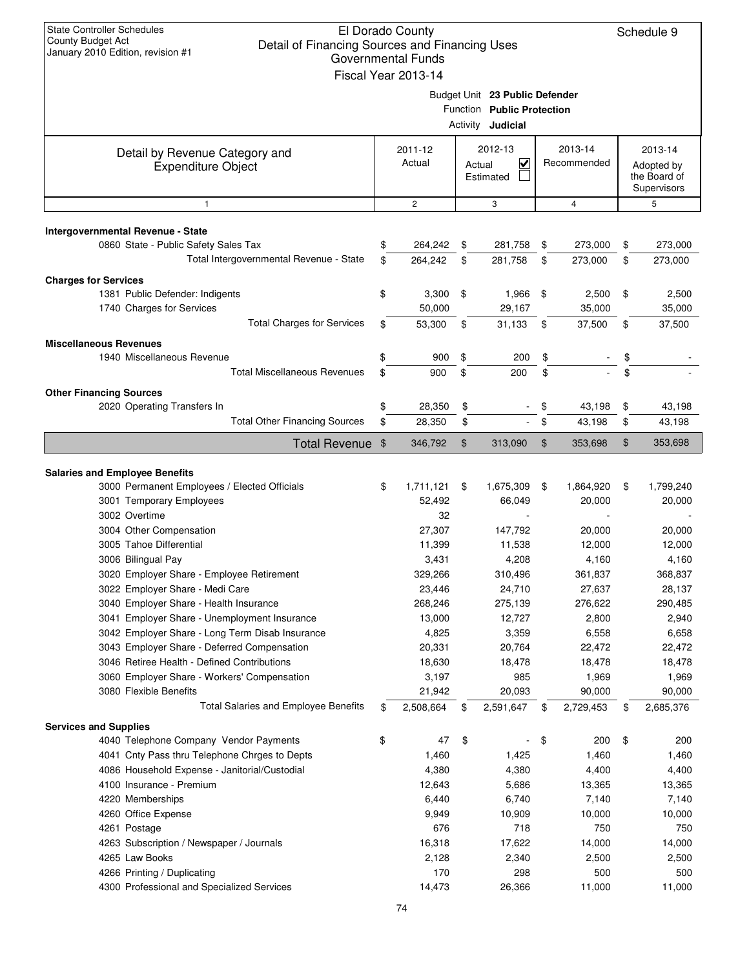| <b>State Controller Schedules</b><br>El Dorado County<br><b>County Budget Act</b><br>Detail of Financing Sources and Financing Uses<br>January 2010 Edition, revision #1<br>Governmental Funds<br>Fiscal Year 2013-14 |          |                    | Schedule 9 |                                                                                          |          |                        |          |                                                      |
|-----------------------------------------------------------------------------------------------------------------------------------------------------------------------------------------------------------------------|----------|--------------------|------------|------------------------------------------------------------------------------------------|----------|------------------------|----------|------------------------------------------------------|
|                                                                                                                                                                                                                       |          |                    |            | Budget Unit 23 Public Defender<br>Function Public Protection<br>Activity <b>Judicial</b> |          |                        |          |                                                      |
| Detail by Revenue Category and<br><b>Expenditure Object</b>                                                                                                                                                           |          | 2011-12<br>Actual  | Actual     | 2012-13<br>$\checkmark$<br>Estimated                                                     |          | 2013-14<br>Recommended |          | 2013-14<br>Adopted by<br>the Board of<br>Supervisors |
| $\mathbf{1}$                                                                                                                                                                                                          |          | $\overline{c}$     |            | 3                                                                                        |          | 4                      |          | 5                                                    |
| Intergovernmental Revenue - State                                                                                                                                                                                     |          |                    |            |                                                                                          |          |                        |          |                                                      |
| 0860 State - Public Safety Sales Tax<br>Total Intergovernmental Revenue - State                                                                                                                                       | \$<br>\$ | 264,242<br>264,242 | \$<br>\$   | 281,758<br>281,758                                                                       | \$<br>\$ | 273,000<br>273,000     | \$<br>\$ | 273,000<br>273,000                                   |
| <b>Charges for Services</b>                                                                                                                                                                                           |          |                    |            |                                                                                          |          |                        |          |                                                      |
| 1381 Public Defender: Indigents                                                                                                                                                                                       | \$       | 3,300              | \$         | 1,966 \$                                                                                 |          | 2,500                  | \$       | 2,500                                                |
| 1740 Charges for Services                                                                                                                                                                                             |          | 50,000             |            | 29,167                                                                                   |          | 35,000                 |          | 35,000                                               |
| <b>Total Charges for Services</b>                                                                                                                                                                                     | \$       | 53,300             | \$         | 31,133                                                                                   | \$       | 37,500                 | \$       | 37,500                                               |
| <b>Miscellaneous Revenues</b>                                                                                                                                                                                         |          |                    |            |                                                                                          |          |                        |          |                                                      |
| 1940 Miscellaneous Revenue                                                                                                                                                                                            | \$       | 900                | \$         | 200                                                                                      | \$       |                        | \$       |                                                      |
| <b>Total Miscellaneous Revenues</b>                                                                                                                                                                                   | \$       | 900                | \$         | 200                                                                                      | \$       |                        | \$       |                                                      |
| <b>Other Financing Sources</b>                                                                                                                                                                                        |          |                    |            |                                                                                          |          |                        |          |                                                      |
| 2020 Operating Transfers In                                                                                                                                                                                           | \$       | 28,350             | \$         |                                                                                          | \$       | 43,198                 | \$       | 43,198                                               |
| <b>Total Other Financing Sources</b>                                                                                                                                                                                  | \$       | 28,350             | \$         |                                                                                          | \$       | 43,198                 | \$       | 43,198                                               |
| Total Revenue \$                                                                                                                                                                                                      |          | 346,792            | \$         | 313,090                                                                                  | \$       | 353,698                | \$       | 353,698                                              |
|                                                                                                                                                                                                                       |          |                    |            |                                                                                          |          |                        |          |                                                      |
| <b>Salaries and Employee Benefits</b>                                                                                                                                                                                 |          |                    |            |                                                                                          |          |                        |          |                                                      |
| 3000 Permanent Employees / Elected Officials                                                                                                                                                                          | \$       | 1,711,121          | \$         | 1,675,309                                                                                | \$       | 1,864,920              | \$       | 1,799,240                                            |
| 3001 Temporary Employees<br>3002 Overtime                                                                                                                                                                             |          | 52,492<br>32       |            | 66,049                                                                                   |          | 20,000                 |          | 20,000                                               |
| 3004 Other Compensation                                                                                                                                                                                               |          | 27,307             |            | 147,792                                                                                  |          | 20,000                 |          | 20,000                                               |
| 3005 Tahoe Differential                                                                                                                                                                                               |          | 11,399             |            | 11,538                                                                                   |          | 12,000                 |          | 12,000                                               |
| 3006 Bilingual Pay                                                                                                                                                                                                    |          | 3,431              |            | 4,208                                                                                    |          | 4,160                  |          | 4,160                                                |
| 3020 Employer Share - Employee Retirement                                                                                                                                                                             |          | 329,266            |            | 310,496                                                                                  |          | 361,837                |          | 368,837                                              |
| 3022 Employer Share - Medi Care                                                                                                                                                                                       |          | 23,446             |            | 24,710                                                                                   |          | 27,637                 |          | 28,137                                               |
| 3040 Employer Share - Health Insurance                                                                                                                                                                                |          | 268,246            |            | 275,139                                                                                  |          | 276,622                |          | 290,485                                              |
| 3041 Employer Share - Unemployment Insurance                                                                                                                                                                          |          | 13,000             |            | 12,727                                                                                   |          | 2,800                  |          | 2,940                                                |
| 3042 Employer Share - Long Term Disab Insurance                                                                                                                                                                       |          | 4,825              |            | 3,359                                                                                    |          | 6,558                  |          | 6,658                                                |
| 3043 Employer Share - Deferred Compensation                                                                                                                                                                           |          | 20,331             |            | 20,764                                                                                   |          | 22,472                 |          | 22,472                                               |
| 3046 Retiree Health - Defined Contributions                                                                                                                                                                           |          | 18,630             |            | 18,478                                                                                   |          | 18,478                 |          | 18,478                                               |
| 3060 Employer Share - Workers' Compensation                                                                                                                                                                           |          | 3,197              |            | 985                                                                                      |          | 1,969                  |          | 1,969                                                |
| 3080 Flexible Benefits<br><b>Total Salaries and Employee Benefits</b>                                                                                                                                                 |          | 21,942             |            | 20,093                                                                                   |          | 90,000                 |          | 90,000                                               |
|                                                                                                                                                                                                                       | \$       | 2,508,664          | \$         | 2,591,647                                                                                | \$       | 2,729,453              | \$       | 2,685,376                                            |
| <b>Services and Supplies</b>                                                                                                                                                                                          |          |                    |            |                                                                                          |          |                        |          |                                                      |
| 4040 Telephone Company Vendor Payments                                                                                                                                                                                | \$       | 47                 | \$         |                                                                                          | \$       | 200                    | \$       | 200                                                  |
| 4041 Cnty Pass thru Telephone Chrges to Depts                                                                                                                                                                         |          | 1,460              |            | 1,425<br>4,380                                                                           |          | 1,460                  |          | 1,460                                                |
| 4086 Household Expense - Janitorial/Custodial<br>4100 Insurance - Premium                                                                                                                                             |          | 4,380<br>12,643    |            | 5,686                                                                                    |          | 4,400<br>13,365        |          | 4,400<br>13,365                                      |
| 4220 Memberships                                                                                                                                                                                                      |          | 6,440              |            | 6,740                                                                                    |          | 7,140                  |          | 7,140                                                |
| 4260 Office Expense                                                                                                                                                                                                   |          | 9,949              |            | 10,909                                                                                   |          | 10,000                 |          | 10,000                                               |
| 4261 Postage                                                                                                                                                                                                          |          | 676                |            | 718                                                                                      |          | 750                    |          | 750                                                  |
| 4263 Subscription / Newspaper / Journals                                                                                                                                                                              |          | 16,318             |            | 17,622                                                                                   |          | 14,000                 |          | 14,000                                               |
| 4265 Law Books                                                                                                                                                                                                        |          | 2,128              |            | 2,340                                                                                    |          | 2,500                  |          | 2,500                                                |
| 4266 Printing / Duplicating                                                                                                                                                                                           |          | 170                |            | 298                                                                                      |          | 500                    |          | 500                                                  |
| 4300 Professional and Specialized Services                                                                                                                                                                            |          | 14,473             |            | 26,366                                                                                   |          | 11,000                 |          | 11,000                                               |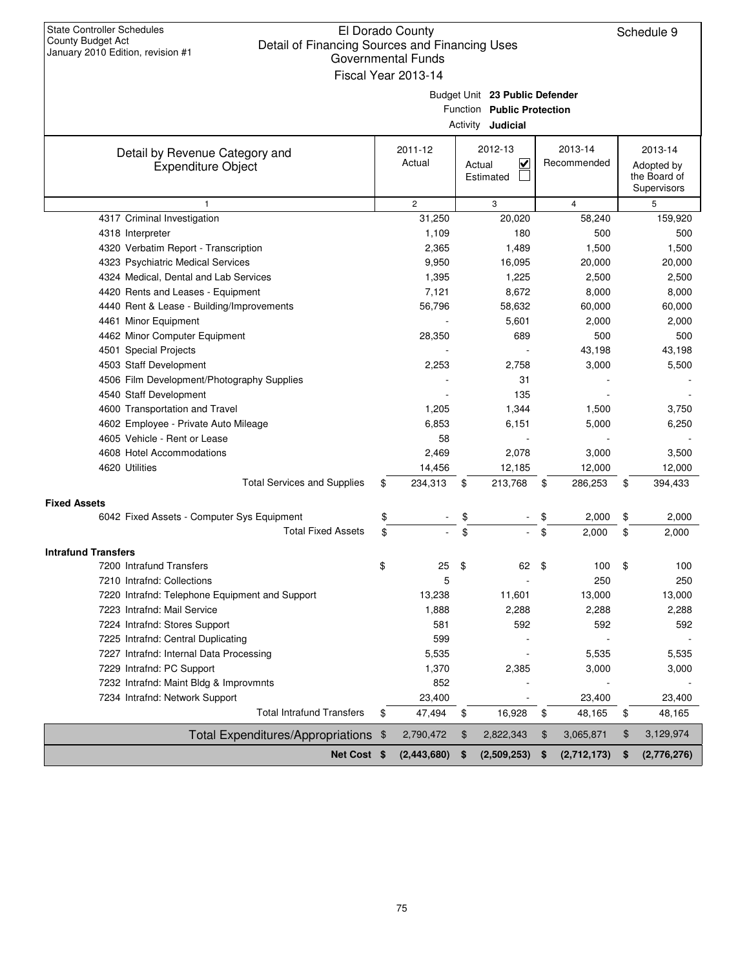| <b>State Controller Schedules</b><br>El Dorado County<br>Schedule 9<br><b>County Budget Act</b><br>Detail of Financing Sources and Financing Uses<br>January 2010 Edition, revision #1<br>Governmental Funds<br>Fiscal Year 2013-14 |    |                   |        |                                                                                          |      |                        |    |                                                      |
|-------------------------------------------------------------------------------------------------------------------------------------------------------------------------------------------------------------------------------------|----|-------------------|--------|------------------------------------------------------------------------------------------|------|------------------------|----|------------------------------------------------------|
|                                                                                                                                                                                                                                     |    |                   |        | Budget Unit 23 Public Defender<br>Function Public Protection<br>Activity <b>Judicial</b> |      |                        |    |                                                      |
| Detail by Revenue Category and<br><b>Expenditure Object</b>                                                                                                                                                                         |    | 2011-12<br>Actual | Actual | 2012-13<br><u>V</u><br>Estimated                                                         |      | 2013-14<br>Recommended |    | 2013-14<br>Adopted by<br>the Board of<br>Supervisors |
| 1                                                                                                                                                                                                                                   |    | $\overline{c}$    |        | 3                                                                                        |      | $\overline{4}$         |    | 5                                                    |
| 4317 Criminal Investigation                                                                                                                                                                                                         |    | 31,250            |        | 20,020                                                                                   |      | 58,240                 |    | 159,920                                              |
| 4318 Interpreter                                                                                                                                                                                                                    |    | 1,109             |        | 180                                                                                      |      | 500                    |    | 500                                                  |
| 4320 Verbatim Report - Transcription                                                                                                                                                                                                |    | 2,365             |        | 1,489                                                                                    |      | 1,500                  |    | 1,500                                                |
| 4323 Psychiatric Medical Services                                                                                                                                                                                                   |    | 9,950             |        | 16,095                                                                                   |      | 20,000                 |    | 20,000                                               |
| 4324 Medical, Dental and Lab Services                                                                                                                                                                                               |    | 1,395             |        | 1,225                                                                                    |      | 2,500                  |    | 2,500                                                |
| 4420 Rents and Leases - Equipment                                                                                                                                                                                                   |    | 7,121             |        | 8,672                                                                                    |      | 8,000                  |    | 8,000                                                |
| 4440 Rent & Lease - Building/Improvements                                                                                                                                                                                           |    | 56,796            |        | 58,632                                                                                   |      | 60,000                 |    | 60,000                                               |
| 4461 Minor Equipment                                                                                                                                                                                                                |    |                   |        | 5,601                                                                                    |      | 2,000                  |    | 2,000                                                |
| 4462 Minor Computer Equipment                                                                                                                                                                                                       |    | 28,350            |        | 689                                                                                      |      | 500                    |    | 500                                                  |
| 4501 Special Projects                                                                                                                                                                                                               |    |                   |        |                                                                                          |      | 43,198                 |    | 43,198                                               |
| 4503 Staff Development                                                                                                                                                                                                              |    | 2,253             |        | 2,758                                                                                    |      | 3,000                  |    | 5,500                                                |
| 4506 Film Development/Photography Supplies                                                                                                                                                                                          |    |                   |        | 31                                                                                       |      |                        |    |                                                      |
| 4540 Staff Development                                                                                                                                                                                                              |    |                   |        | 135                                                                                      |      |                        |    |                                                      |
| 4600 Transportation and Travel                                                                                                                                                                                                      |    | 1,205             |        | 1,344                                                                                    |      | 1,500                  |    | 3,750                                                |
| 4602 Employee - Private Auto Mileage                                                                                                                                                                                                |    | 6,853             |        | 6,151                                                                                    |      | 5,000                  |    | 6,250                                                |
| 4605 Vehicle - Rent or Lease                                                                                                                                                                                                        |    | 58                |        |                                                                                          |      |                        |    |                                                      |
| 4608 Hotel Accommodations                                                                                                                                                                                                           |    | 2,469             |        | 2,078                                                                                    |      | 3,000                  |    | 3,500                                                |
| 4620 Utilities                                                                                                                                                                                                                      |    | 14,456            |        | 12,185                                                                                   |      | 12,000                 |    | 12,000                                               |
| <b>Total Services and Supplies</b>                                                                                                                                                                                                  | \$ | 234,313           | \$     | 213,768                                                                                  | \$   | 286,253                | \$ | 394,433                                              |
| <b>Fixed Assets</b>                                                                                                                                                                                                                 |    |                   |        |                                                                                          |      |                        |    |                                                      |
| 6042 Fixed Assets - Computer Sys Equipment                                                                                                                                                                                          | \$ |                   | \$     |                                                                                          | \$   | 2,000                  | \$ | 2,000                                                |
| <b>Total Fixed Assets</b>                                                                                                                                                                                                           | \$ |                   | \$     |                                                                                          | \$   | 2,000                  | \$ | 2,000                                                |
| <b>Intrafund Transfers</b>                                                                                                                                                                                                          |    |                   |        |                                                                                          |      |                        |    |                                                      |
| 7200 Intrafund Transfers                                                                                                                                                                                                            | \$ | 25                | \$     | 62                                                                                       | - \$ | 100                    | \$ | 100                                                  |
| 7210 Intrafnd: Collections                                                                                                                                                                                                          |    | 5                 |        |                                                                                          |      | 250                    |    | 250                                                  |
| 7220 Intrafnd: Telephone Equipment and Support                                                                                                                                                                                      |    | 13,238            |        | 11,601                                                                                   |      | 13,000                 |    | 13,000                                               |
| 7223 Intrafnd: Mail Service                                                                                                                                                                                                         |    | 1,888             |        | 2,288                                                                                    |      | 2,288                  |    | 2,288                                                |
| 7224 Intrafnd: Stores Support                                                                                                                                                                                                       |    | 581               |        | 592                                                                                      |      | 592                    |    | 592                                                  |
| 7225 Intrafnd: Central Duplicating                                                                                                                                                                                                  |    | 599               |        |                                                                                          |      |                        |    |                                                      |
| 7227 Intrafnd: Internal Data Processing                                                                                                                                                                                             |    | 5,535             |        |                                                                                          |      | 5,535                  |    | 5,535                                                |
| 7229 Intrafnd: PC Support                                                                                                                                                                                                           |    | 1,370             |        | 2,385                                                                                    |      | 3,000                  |    | 3,000                                                |
| 7232 Intrafnd: Maint Bldg & Improvmnts                                                                                                                                                                                              |    | 852               |        |                                                                                          |      |                        |    |                                                      |
| 7234 Intrafnd: Network Support                                                                                                                                                                                                      |    | 23,400            |        |                                                                                          |      | 23,400                 |    | 23,400                                               |
| <b>Total Intrafund Transfers</b>                                                                                                                                                                                                    | \$ | 47,494            | \$     | 16,928                                                                                   | \$   | 48,165                 | \$ | 48,165                                               |
| Total Expenditures/Appropriations                                                                                                                                                                                                   | \$ | 2,790,472         | \$     | 2,822,343                                                                                | \$   | 3,065,871              | \$ | 3,129,974                                            |
| <b>Net Cost</b>                                                                                                                                                                                                                     | \$ | (2,443,680)       | \$     | (2,509,253)                                                                              | \$   | (2,712,173)            | \$ | (2,776,276)                                          |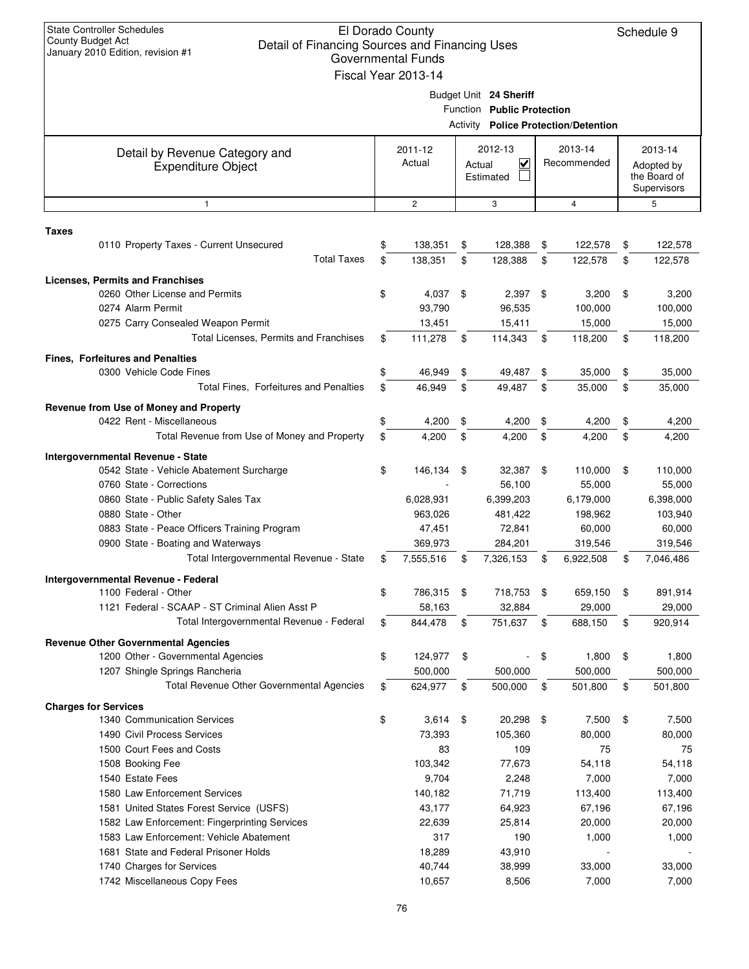| <b>State Controller Schedules</b><br><b>County Budget Act</b><br>Detail of Financing Sources and Financing Uses<br>January 2010 Edition, revision #1 | El Dorado County<br><b>Governmental Funds</b><br>Fiscal Year 2013-14 |        |                                                      |     |                                             | Schedule 9                                |
|------------------------------------------------------------------------------------------------------------------------------------------------------|----------------------------------------------------------------------|--------|------------------------------------------------------|-----|---------------------------------------------|-------------------------------------------|
|                                                                                                                                                      |                                                                      |        | Budget Unit 24 Sheriff<br>Function Public Protection |     | <b>Activity Police Protection/Detention</b> |                                           |
| Detail by Revenue Category and                                                                                                                       | 2011-12                                                              |        | 2012-13                                              |     | 2013-14                                     | 2013-14                                   |
| <b>Expenditure Object</b>                                                                                                                            | Actual                                                               | Actual | V<br>Estimated                                       |     | Recommended                                 | Adopted by<br>the Board of<br>Supervisors |
| $\mathbf{1}$                                                                                                                                         | $\mathbf{2}$                                                         |        | 3                                                    |     | $\overline{4}$                              | 5                                         |
|                                                                                                                                                      |                                                                      |        |                                                      |     |                                             |                                           |
| Taxes<br>0110 Property Taxes - Current Unsecured                                                                                                     | \$<br>138,351                                                        | \$     | 128,388                                              | \$  | 122,578                                     | \$<br>122,578                             |
| <b>Total Taxes</b>                                                                                                                                   | \$<br>138,351                                                        | \$     | 128,388                                              | \$  | 122,578                                     | \$<br>122,578                             |
| <b>Licenses, Permits and Franchises</b>                                                                                                              |                                                                      |        |                                                      |     |                                             |                                           |
| 0260 Other License and Permits                                                                                                                       | \$<br>4,037                                                          | \$     | 2,397                                                | \$  | 3,200                                       | \$<br>3,200                               |
| 0274 Alarm Permit                                                                                                                                    | 93,790                                                               |        | 96,535                                               |     | 100,000                                     | 100,000                                   |
| 0275 Carry Consealed Weapon Permit                                                                                                                   | 13,451                                                               |        | 15,411                                               |     | 15,000                                      | 15,000                                    |
| Total Licenses, Permits and Franchises                                                                                                               | \$<br>111,278                                                        | \$     | 114,343                                              | \$  | 118,200                                     | \$<br>118,200                             |
| Fines, Forfeitures and Penalties                                                                                                                     |                                                                      |        |                                                      |     |                                             |                                           |
| 0300 Vehicle Code Fines                                                                                                                              | \$<br>46,949                                                         | \$     | 49,487                                               | \$  | 35,000                                      | \$<br>35,000                              |
| Total Fines, Forfeitures and Penalties                                                                                                               | \$<br>46,949                                                         | \$     | 49,487                                               | \$  | 35,000                                      | \$<br>35,000                              |
|                                                                                                                                                      |                                                                      |        |                                                      |     |                                             |                                           |
| Revenue from Use of Money and Property<br>0422 Rent - Miscellaneous                                                                                  | \$<br>4,200                                                          | \$     | 4,200                                                | \$  | 4,200                                       | \$<br>4,200                               |
| Total Revenue from Use of Money and Property                                                                                                         | \$<br>4,200                                                          | \$     | 4,200                                                | \$  | 4,200                                       | \$<br>4,200                               |
|                                                                                                                                                      |                                                                      |        |                                                      |     |                                             |                                           |
| Intergovernmental Revenue - State                                                                                                                    |                                                                      |        |                                                      |     |                                             |                                           |
| 0542 State - Vehicle Abatement Surcharge<br>0760 State - Corrections                                                                                 | \$<br>146,134                                                        | \$     | 32,387<br>56,100                                     | \$  | 110,000<br>55,000                           | \$<br>110,000<br>55,000                   |
| 0860 State - Public Safety Sales Tax                                                                                                                 | 6,028,931                                                            |        | 6,399,203                                            |     | 6,179,000                                   | 6,398,000                                 |
| 0880 State - Other                                                                                                                                   | 963,026                                                              |        | 481,422                                              |     | 198,962                                     | 103,940                                   |
| 0883 State - Peace Officers Training Program                                                                                                         | 47,451                                                               |        | 72,841                                               |     | 60,000                                      | 60,000                                    |
| 0900 State - Boating and Waterways                                                                                                                   | 369,973                                                              |        | 284,201                                              |     | 319,546                                     | 319,546                                   |
| Total Intergovernmental Revenue - State                                                                                                              | \$<br>7,555,516                                                      | \$     | 7,326,153                                            | \$  | 6.922.508                                   | \$<br>7.046.486                           |
| Intergovernmental Revenue - Federal                                                                                                                  |                                                                      |        |                                                      |     |                                             |                                           |
| 1100 Federal - Other                                                                                                                                 | \$<br>786,315                                                        | \$     | 718,753 \$                                           |     | 659,150                                     | \$<br>891,914                             |
| 1121 Federal - SCAAP - ST Criminal Alien Asst P                                                                                                      | 58,163                                                               |        | 32,884                                               |     | 29,000                                      | 29,000                                    |
| Total Intergovernmental Revenue - Federal                                                                                                            | \$<br>844,478                                                        | \$     | 751,637                                              | \$  | 688,150                                     | \$<br>920,914                             |
| <b>Revenue Other Governmental Agencies</b>                                                                                                           |                                                                      |        |                                                      |     |                                             |                                           |
| 1200 Other - Governmental Agencies                                                                                                                   | \$<br>124,977                                                        | \$     |                                                      | \$  | 1,800                                       | \$<br>1,800                               |
| 1207 Shingle Springs Rancheria                                                                                                                       | 500,000                                                              |        | 500,000                                              |     | 500,000                                     | 500,000                                   |
| <b>Total Revenue Other Governmental Agencies</b>                                                                                                     | \$<br>624,977                                                        | \$     | 500,000                                              | \$  | 501,800                                     | \$<br>501,800                             |
| <b>Charges for Services</b>                                                                                                                          |                                                                      |        |                                                      |     |                                             |                                           |
| 1340 Communication Services                                                                                                                          | \$<br>3,614                                                          | \$     | 20,298                                               | -\$ | 7,500                                       | \$<br>7,500                               |
| 1490 Civil Process Services                                                                                                                          | 73,393                                                               |        | 105,360                                              |     | 80,000                                      | 80,000                                    |
| 1500 Court Fees and Costs                                                                                                                            | 83                                                                   |        | 109                                                  |     | 75                                          | 75                                        |
| 1508 Booking Fee                                                                                                                                     | 103,342                                                              |        | 77,673                                               |     | 54,118                                      | 54,118                                    |
| 1540 Estate Fees                                                                                                                                     | 9,704                                                                |        | 2,248                                                |     | 7,000                                       | 7,000                                     |
| 1580 Law Enforcement Services                                                                                                                        | 140,182                                                              |        | 71,719                                               |     | 113,400                                     | 113,400                                   |
| 1581 United States Forest Service (USFS)                                                                                                             | 43,177                                                               |        | 64,923                                               |     | 67,196                                      | 67,196                                    |
| 1582 Law Enforcement: Fingerprinting Services                                                                                                        | 22,639                                                               |        | 25,814                                               |     | 20,000                                      | 20,000                                    |
| 1583 Law Enforcement: Vehicle Abatement                                                                                                              | 317                                                                  |        | 190                                                  |     | 1,000                                       | 1,000                                     |
| 1681 State and Federal Prisoner Holds                                                                                                                | 18,289                                                               |        | 43,910                                               |     |                                             |                                           |
| 1740 Charges for Services                                                                                                                            | 40,744                                                               |        | 38,999                                               |     | 33,000                                      | 33,000                                    |
| 1742 Miscellaneous Copy Fees                                                                                                                         | 10,657                                                               |        | 8,506                                                |     | 7,000                                       | 7,000                                     |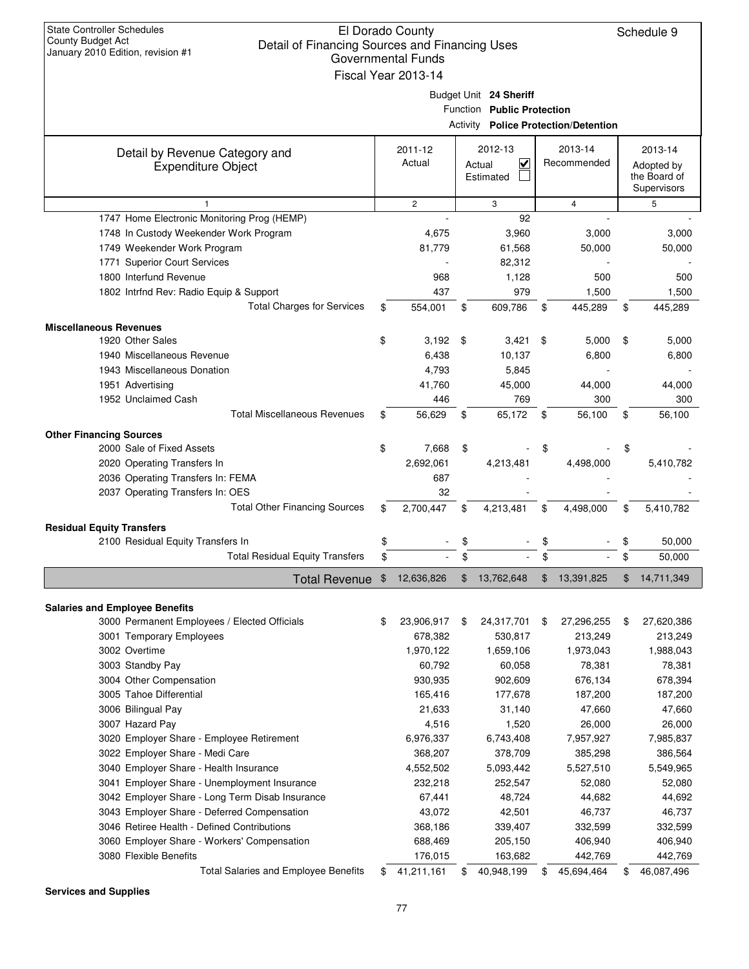| <b>State Controller Schedules</b><br>County Budget Act<br>January 2010 Edition, revision #1 | El Dorado County<br>Schedule 9<br>Detail of Financing Sources and Financing Uses<br>Governmental Funds<br>Fiscal Year 2013-14 |                |      |                            |    |                                             |    |                                           |  |  |  |  |
|---------------------------------------------------------------------------------------------|-------------------------------------------------------------------------------------------------------------------------------|----------------|------|----------------------------|----|---------------------------------------------|----|-------------------------------------------|--|--|--|--|
|                                                                                             |                                                                                                                               |                |      | Budget Unit 24 Sheriff     |    |                                             |    |                                           |  |  |  |  |
|                                                                                             |                                                                                                                               |                |      | Function Public Protection |    |                                             |    |                                           |  |  |  |  |
|                                                                                             |                                                                                                                               |                |      |                            |    | <b>Activity Police Protection/Detention</b> |    |                                           |  |  |  |  |
|                                                                                             |                                                                                                                               |                |      |                            |    |                                             |    |                                           |  |  |  |  |
| Detail by Revenue Category and                                                              |                                                                                                                               | 2011-12        |      | 2012-13                    |    | 2013-14                                     |    | 2013-14                                   |  |  |  |  |
| <b>Expenditure Object</b>                                                                   |                                                                                                                               | Actual         |      | ⊻<br>Actual<br>Estimated   |    | Recommended                                 |    | Adopted by<br>the Board of<br>Supervisors |  |  |  |  |
| 1                                                                                           |                                                                                                                               | $\overline{c}$ |      | 3                          |    | $\overline{\mathbf{4}}$                     |    | 5                                         |  |  |  |  |
| 1747 Home Electronic Monitoring Prog (HEMP)                                                 |                                                                                                                               |                |      | 92                         |    |                                             |    |                                           |  |  |  |  |
| 1748 In Custody Weekender Work Program                                                      |                                                                                                                               | 4,675          |      | 3,960                      |    | 3,000                                       |    | 3,000                                     |  |  |  |  |
| 1749 Weekender Work Program                                                                 |                                                                                                                               | 81,779         |      | 61,568                     |    | 50,000                                      |    | 50,000                                    |  |  |  |  |
| 1771 Superior Court Services                                                                |                                                                                                                               |                |      | 82,312                     |    |                                             |    |                                           |  |  |  |  |
| 1800 Interfund Revenue                                                                      |                                                                                                                               | 968            |      | 1,128                      |    | 500                                         |    | 500                                       |  |  |  |  |
| 1802 Intrfnd Rev: Radio Equip & Support                                                     |                                                                                                                               | 437            |      | 979                        |    | 1,500                                       |    | 1,500                                     |  |  |  |  |
| <b>Total Charges for Services</b>                                                           | \$                                                                                                                            | 554,001        | \$   | 609,786                    | \$ | 445.289                                     | \$ | 445,289                                   |  |  |  |  |
| <b>Miscellaneous Revenues</b>                                                               |                                                                                                                               |                |      |                            |    |                                             |    |                                           |  |  |  |  |
| 1920 Other Sales                                                                            | \$                                                                                                                            | 3,192          | - \$ | 3,421                      | \$ | 5,000                                       | \$ | 5,000                                     |  |  |  |  |
| 1940 Miscellaneous Revenue                                                                  |                                                                                                                               | 6,438          |      | 10,137                     |    | 6,800                                       |    | 6,800                                     |  |  |  |  |
| 1943 Miscellaneous Donation                                                                 |                                                                                                                               | 4,793          |      | 5,845                      |    |                                             |    |                                           |  |  |  |  |
|                                                                                             |                                                                                                                               | 41,760         |      | 45,000                     |    |                                             |    |                                           |  |  |  |  |
| 1951 Advertising                                                                            |                                                                                                                               |                |      |                            |    | 44,000                                      |    | 44,000                                    |  |  |  |  |
| 1952 Unclaimed Cash                                                                         |                                                                                                                               | 446            |      | 769                        |    | 300                                         |    | 300                                       |  |  |  |  |
| <b>Total Miscellaneous Revenues</b>                                                         | \$                                                                                                                            | 56,629         | \$   | 65,172                     | \$ | 56,100                                      | \$ | 56,100                                    |  |  |  |  |
| <b>Other Financing Sources</b>                                                              |                                                                                                                               |                |      |                            |    |                                             |    |                                           |  |  |  |  |
| 2000 Sale of Fixed Assets                                                                   | \$                                                                                                                            | 7,668          | \$   |                            | \$ |                                             | \$ |                                           |  |  |  |  |
| 2020 Operating Transfers In                                                                 |                                                                                                                               | 2,692,061      |      | 4,213,481                  |    | 4,498,000                                   |    | 5,410,782                                 |  |  |  |  |
| 2036 Operating Transfers In: FEMA                                                           |                                                                                                                               | 687            |      |                            |    |                                             |    |                                           |  |  |  |  |
| 2037 Operating Transfers In: OES                                                            |                                                                                                                               | 32             |      |                            |    |                                             |    |                                           |  |  |  |  |
| <b>Total Other Financing Sources</b>                                                        | \$                                                                                                                            | 2,700,447      | \$   | 4,213,481                  | \$ | 4,498,000                                   | \$ | 5,410,782                                 |  |  |  |  |
| <b>Residual Equity Transfers</b>                                                            |                                                                                                                               |                |      |                            |    |                                             |    |                                           |  |  |  |  |
| 2100 Residual Equity Transfers In                                                           |                                                                                                                               |                |      |                            | \$ |                                             | \$ | 50,000                                    |  |  |  |  |
| <b>Total Residual Equity Transfers</b>                                                      | \$                                                                                                                            |                | \$   |                            | \$ |                                             | \$ | 50,000                                    |  |  |  |  |
| Total Revenue \$                                                                            |                                                                                                                               | 12,636,826     | \$   | 13,762,648                 | \$ | 13,391,825                                  | \$ | 14,711,349                                |  |  |  |  |
|                                                                                             |                                                                                                                               |                |      |                            |    |                                             |    |                                           |  |  |  |  |
| <b>Salaries and Employee Benefits</b>                                                       |                                                                                                                               |                |      |                            |    |                                             |    |                                           |  |  |  |  |
| 3000 Permanent Employees / Elected Officials                                                | \$                                                                                                                            | 23,906,917     | \$   | 24,317,701                 | \$ | 27,296,255                                  | \$ | 27,620,386                                |  |  |  |  |
| 3001 Temporary Employees                                                                    |                                                                                                                               | 678,382        |      | 530,817                    |    | 213,249                                     |    | 213,249                                   |  |  |  |  |
| 3002 Overtime                                                                               |                                                                                                                               | 1,970,122      |      | 1,659,106                  |    | 1,973,043                                   |    | 1,988,043                                 |  |  |  |  |
| 3003 Standby Pay                                                                            |                                                                                                                               | 60,792         |      | 60,058                     |    | 78,381                                      |    | 78,381                                    |  |  |  |  |
| 3004 Other Compensation                                                                     |                                                                                                                               | 930,935        |      | 902,609                    |    | 676,134                                     |    | 678,394                                   |  |  |  |  |
| 3005 Tahoe Differential                                                                     |                                                                                                                               | 165,416        |      | 177,678                    |    | 187,200                                     |    | 187,200                                   |  |  |  |  |
| 3006 Bilingual Pay                                                                          |                                                                                                                               | 21,633         |      | 31,140                     |    | 47,660                                      |    | 47,660                                    |  |  |  |  |
| 3007 Hazard Pay                                                                             |                                                                                                                               | 4,516          |      | 1,520                      |    | 26,000                                      |    | 26,000                                    |  |  |  |  |
| 3020 Employer Share - Employee Retirement                                                   |                                                                                                                               | 6,976,337      |      | 6,743,408                  |    | 7,957,927                                   |    | 7,985,837                                 |  |  |  |  |
| 3022 Employer Share - Medi Care                                                             |                                                                                                                               | 368,207        |      | 378,709                    |    | 385,298                                     |    | 386,564                                   |  |  |  |  |
| 3040 Employer Share - Health Insurance                                                      |                                                                                                                               | 4,552,502      |      | 5,093,442                  |    | 5,527,510                                   |    | 5,549,965                                 |  |  |  |  |
| 3041 Employer Share - Unemployment Insurance                                                |                                                                                                                               | 232,218        |      | 252,547                    |    | 52,080                                      |    | 52,080                                    |  |  |  |  |
| 3042 Employer Share - Long Term Disab Insurance                                             |                                                                                                                               | 67,441         |      | 48,724                     |    | 44,682                                      |    | 44,692                                    |  |  |  |  |
| 3043 Employer Share - Deferred Compensation                                                 |                                                                                                                               | 43,072         |      | 42,501                     |    | 46,737                                      |    | 46,737                                    |  |  |  |  |
| 3046 Retiree Health - Defined Contributions                                                 |                                                                                                                               | 368,186        |      | 339,407                    |    | 332,599                                     |    | 332,599                                   |  |  |  |  |
| 3060 Employer Share - Workers' Compensation                                                 |                                                                                                                               | 688,469        |      | 205,150                    |    | 406,940                                     |    | 406,940                                   |  |  |  |  |
| 3080 Flexible Benefits                                                                      |                                                                                                                               | 176,015        |      | 163,682                    |    | 442,769                                     |    | 442,769                                   |  |  |  |  |
| Total Salaries and Employee Benefits                                                        | \$                                                                                                                            | 41,211,161     | \$   | 40,948,199                 | \$ | 45,694,464                                  | \$ | 46,087,496                                |  |  |  |  |

**Services and Supplies**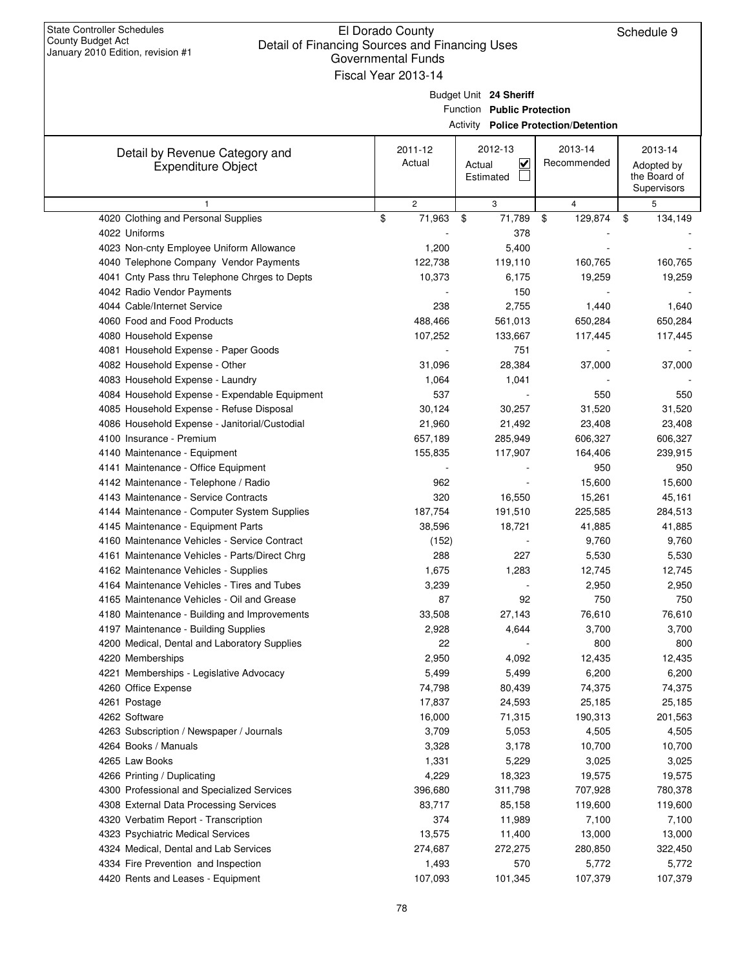|                                                             | Governmental Funds  |                                             |               |               |
|-------------------------------------------------------------|---------------------|---------------------------------------------|---------------|---------------|
|                                                             | Fiscal Year 2013-14 |                                             |               |               |
|                                                             |                     | Budget Unit 24 Sheriff                      |               |               |
|                                                             |                     | Function Public Protection                  |               |               |
|                                                             |                     | <b>Activity Police Protection/Detention</b> |               |               |
|                                                             | 2011-12             | 2012-13                                     | 2013-14       | 2013-14       |
| Detail by Revenue Category and<br><b>Expenditure Object</b> | Actual              | $\overline{\mathbf{v}}$<br>Actual           | Recommended   | Adopted by    |
|                                                             |                     | Estimated                                   |               | the Board of  |
|                                                             |                     |                                             |               | Supervisors   |
| $\mathbf{1}$                                                | $\overline{c}$      | 3                                           | 4             | 5             |
| 4020 Clothing and Personal Supplies                         | \$<br>71,963        | \$<br>71,789                                | \$<br>129,874 | \$<br>134,149 |
| 4022 Uniforms                                               |                     | 378                                         |               |               |
| 4023 Non-cnty Employee Uniform Allowance                    | 1,200               | 5,400                                       |               |               |
| 4040 Telephone Company Vendor Payments                      | 122,738             | 119,110                                     | 160,765       | 160,765       |
| 4041 Cnty Pass thru Telephone Chrges to Depts               | 10,373              | 6,175                                       | 19,259        | 19,259        |
| 4042 Radio Vendor Payments                                  |                     | 150                                         |               |               |
| 4044 Cable/Internet Service                                 | 238                 | 2,755                                       | 1,440         | 1,640         |
| 4060 Food and Food Products                                 | 488,466             | 561,013                                     | 650,284       | 650,284       |
| 4080 Household Expense                                      | 107,252             | 133,667                                     | 117,445       | 117,445       |
| 4081 Household Expense - Paper Goods                        |                     | 751                                         |               |               |
| 4082 Household Expense - Other                              | 31,096              | 28,384                                      | 37,000        | 37,000        |
| 4083 Household Expense - Laundry                            | 1,064               | 1,041                                       |               |               |
| 4084 Household Expense - Expendable Equipment               | 537                 |                                             | 550           | 550           |
| 4085 Household Expense - Refuse Disposal                    | 30,124              | 30,257                                      | 31,520        | 31,520        |
| 4086 Household Expense - Janitorial/Custodial               | 21,960              | 21,492                                      | 23,408        | 23,408        |
| 4100 Insurance - Premium                                    | 657,189             | 285,949                                     | 606,327       | 606,327       |
| 4140 Maintenance - Equipment                                | 155,835             | 117,907                                     | 164,406       | 239,915       |
| 4141 Maintenance - Office Equipment                         |                     |                                             | 950           | 950           |
| 4142 Maintenance - Telephone / Radio                        | 962                 |                                             | 15,600        | 15,600        |
| 4143 Maintenance - Service Contracts                        | 320                 | 16,550                                      | 15,261        | 45,161        |
| 4144 Maintenance - Computer System Supplies                 | 187,754             | 191,510                                     | 225,585       | 284,513       |
| 4145 Maintenance - Equipment Parts                          | 38,596              | 18,721                                      | 41,885        | 41,885        |
| 4160 Maintenance Vehicles - Service Contract                | (152)               |                                             | 9,760         | 9,760         |
| 4161 Maintenance Vehicles - Parts/Direct Chrg               | 288                 | 227                                         | 5,530         | 5,530         |
| 4162 Maintenance Vehicles - Supplies                        | 1,675               | 1,283                                       | 12,745        | 12,745        |
| 4164 Maintenance Vehicles - Tires and Tubes                 | 3,239               |                                             | 2,950         | 2,950         |
| 4165 Maintenance Vehicles - Oil and Grease                  | 87                  | 92                                          | 750           | 750           |
| 4180 Maintenance - Building and Improvements                | 33,508              | 27,143                                      | 76,610        | 76,610        |
| 4197 Maintenance - Building Supplies                        | 2,928               | 4,644                                       | 3,700         | 3,700         |
| 4200 Medical, Dental and Laboratory Supplies                | 22                  |                                             | 800           | 800           |
| 4220 Memberships                                            | 2,950               | 4,092                                       | 12,435        | 12,435        |
| 4221 Memberships - Legislative Advocacy                     | 5,499               | 5,499                                       | 6,200         | 6,200         |
| 4260 Office Expense                                         | 74,798              | 80,439                                      | 74,375        | 74,375        |
| 4261 Postage                                                | 17,837              | 24,593                                      | 25,185        | 25,185        |
| 4262 Software                                               | 16,000              | 71,315                                      | 190,313       | 201,563       |
| 4263 Subscription / Newspaper / Journals                    | 3,709               | 5,053                                       | 4,505         | 4,505         |
| 4264 Books / Manuals                                        | 3,328               | 3,178                                       | 10,700        | 10,700        |
| 4265 Law Books                                              | 1,331               | 5,229                                       | 3,025         | 3,025         |
| 4266 Printing / Duplicating                                 | 4,229               | 18,323                                      | 19,575        | 19,575        |
| 4300 Professional and Specialized Services                  | 396,680             | 311,798                                     | 707,928       | 780,378       |
| 4308 External Data Processing Services                      | 83,717              | 85,158                                      | 119,600       | 119,600       |
| 4320 Verbatim Report - Transcription                        | 374                 | 11,989                                      | 7,100         | 7,100         |
| 4323 Psychiatric Medical Services                           | 13,575              | 11,400                                      | 13,000        | 13,000        |
| 4324 Medical, Dental and Lab Services                       | 274,687             | 272,275                                     | 280,850       | 322,450       |
| 4334 Fire Prevention and Inspection                         | 1,493               | 570                                         | 5,772         | 5,772         |
| 4420 Rents and Leases - Equipment                           | 107,093             | 101,345                                     | 107,379       | 107,379       |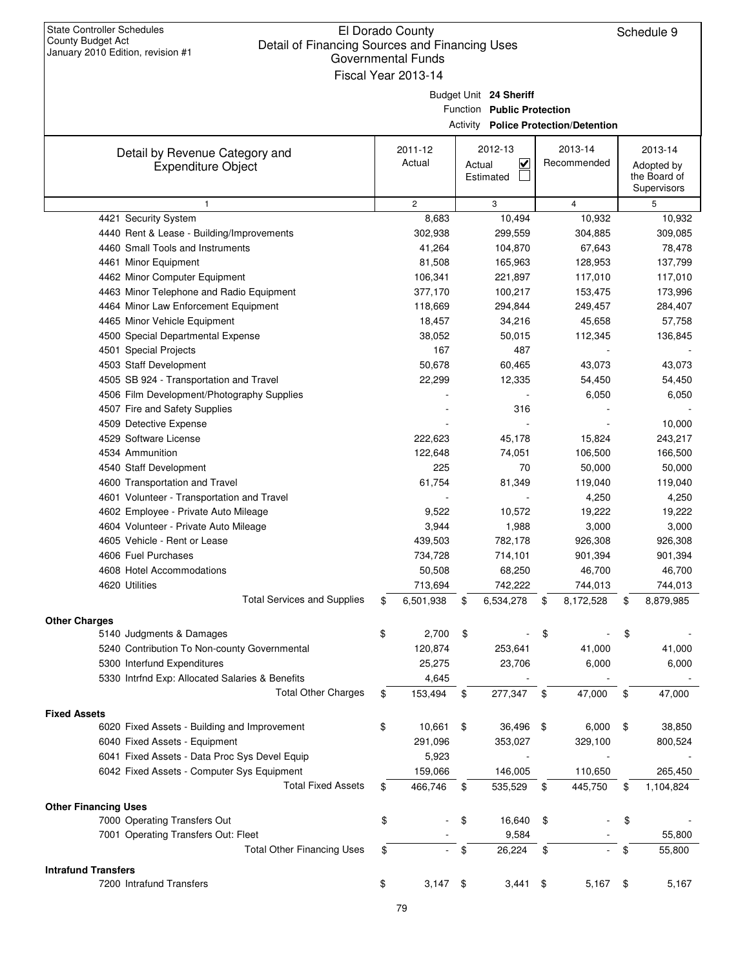|                                                 | Governmental Funds<br>Fiscal Year 2013-14 |        |                            |                                             |                 |
|-------------------------------------------------|-------------------------------------------|--------|----------------------------|---------------------------------------------|-----------------|
|                                                 |                                           |        |                            |                                             |                 |
|                                                 |                                           |        | Budget Unit 24 Sheriff     |                                             |                 |
|                                                 |                                           |        | Function Public Protection |                                             |                 |
|                                                 |                                           |        |                            | <b>Activity Police Protection/Detention</b> |                 |
| Detail by Revenue Category and                  | 2011-12                                   |        | 2012-13                    | 2013-14                                     | 2013-14         |
| <b>Expenditure Object</b>                       | Actual                                    | Actual | $\overline{\mathbf{v}}$    | Recommended                                 | Adopted by      |
|                                                 |                                           |        | Estimated                  |                                             | the Board of    |
|                                                 |                                           |        |                            |                                             | Supervisors     |
| $\mathbf{1}$                                    | $\overline{c}$                            |        | 3                          | $\overline{4}$                              | 5               |
| 4421 Security System                            | 8,683                                     |        | 10,494                     | 10,932                                      | 10,932          |
| 4440 Rent & Lease - Building/Improvements       | 302,938                                   |        | 299,559                    | 304,885                                     | 309,085         |
| 4460 Small Tools and Instruments                | 41,264                                    |        | 104,870                    | 67,643                                      | 78,478          |
| 4461 Minor Equipment                            | 81,508                                    |        | 165,963                    | 128,953                                     | 137,799         |
| 4462 Minor Computer Equipment                   | 106,341                                   |        | 221,897                    | 117,010                                     | 117,010         |
| 4463 Minor Telephone and Radio Equipment        | 377,170                                   |        | 100,217                    | 153,475                                     | 173,996         |
| 4464 Minor Law Enforcement Equipment            | 118,669                                   |        | 294,844                    | 249,457                                     | 284,407         |
| 4465 Minor Vehicle Equipment                    | 18,457                                    |        | 34,216                     | 45,658                                      | 57,758          |
| 4500 Special Departmental Expense               | 38,052                                    |        | 50,015                     | 112,345                                     | 136,845         |
| 4501 Special Projects                           | 167                                       |        | 487                        |                                             |                 |
| 4503 Staff Development                          | 50,678                                    |        | 60,465                     | 43,073                                      | 43,073          |
| 4505 SB 924 - Transportation and Travel         | 22,299                                    |        | 12,335                     | 54,450                                      | 54,450          |
| 4506 Film Development/Photography Supplies      |                                           |        |                            | 6,050                                       | 6,050           |
| 4507 Fire and Safety Supplies                   |                                           |        | 316                        |                                             |                 |
| 4509 Detective Expense                          |                                           |        |                            |                                             | 10,000          |
| 4529 Software License                           | 222,623                                   |        | 45,178                     | 15,824                                      | 243,217         |
| 4534 Ammunition                                 | 122,648                                   |        | 74,051                     | 106,500                                     | 166,500         |
| 4540 Staff Development                          | 225                                       |        | 70                         | 50,000                                      | 50,000          |
| 4600 Transportation and Travel                  | 61,754                                    |        | 81,349                     | 119,040                                     | 119,040         |
| 4601 Volunteer - Transportation and Travel      |                                           |        |                            | 4,250                                       | 4,250           |
| 4602 Employee - Private Auto Mileage            | 9,522                                     |        | 10,572                     | 19,222                                      | 19,222          |
| 4604 Volunteer - Private Auto Mileage           | 3,944                                     |        | 1,988                      | 3,000                                       | 3,000           |
| 4605 Vehicle - Rent or Lease                    | 439,503                                   |        | 782,178                    | 926,308                                     | 926,308         |
| 4606 Fuel Purchases                             | 734,728                                   |        | 714,101                    | 901,394                                     | 901,394         |
| 4608 Hotel Accommodations                       | 50,508                                    |        | 68,250                     | 46,700                                      | 46,700          |
| 4620 Utilities                                  | 713,694                                   |        | 742,222                    | 744,013                                     | 744,013         |
| <b>Total Services and Supplies</b>              | \$<br>6,501,938                           | \$     | 6,534,278                  | \$<br>8,172,528                             | \$<br>8,879,985 |
| <b>Other Charges</b>                            |                                           |        |                            |                                             |                 |
| 5140 Judgments & Damages                        | \$<br>2,700                               | \$     |                            | \$                                          |                 |
| 5240 Contribution To Non-county Governmental    | 120,874                                   |        | 253,641                    | 41,000                                      | 41,000          |
| 5300 Interfund Expenditures                     | 25,275                                    |        | 23,706                     | 6,000                                       | 6,000           |
| 5330 Intrfnd Exp: Allocated Salaries & Benefits | 4,645                                     |        |                            |                                             |                 |
| <b>Total Other Charges</b>                      | \$<br>153,494                             | \$     | 277,347                    | \$<br>47,000                                | \$<br>47,000    |
| <b>Fixed Assets</b>                             |                                           |        |                            |                                             |                 |
| 6020 Fixed Assets - Building and Improvement    | \$<br>10,661                              | \$     | 36,496                     | \$<br>6,000                                 | \$<br>38,850    |
| 6040 Fixed Assets - Equipment                   | 291,096                                   |        | 353,027                    | 329,100                                     | 800,524         |
| 6041 Fixed Assets - Data Proc Sys Devel Equip   | 5,923                                     |        |                            |                                             |                 |
| 6042 Fixed Assets - Computer Sys Equipment      | 159,066                                   |        | 146,005                    | 110,650                                     | 265,450         |
| <b>Total Fixed Assets</b>                       | \$<br>466,746                             | \$     | 535,529                    | \$<br>445,750                               | \$<br>1,104,824 |
|                                                 |                                           |        |                            |                                             |                 |
| <b>Other Financing Uses</b>                     |                                           |        |                            |                                             |                 |
| 7000 Operating Transfers Out                    | \$                                        | \$     | 16,640                     | \$                                          | \$              |
| 7001 Operating Transfers Out: Fleet             |                                           |        | 9,584                      |                                             | 55,800          |
| <b>Total Other Financing Uses</b>               | \$                                        | \$     | 26,224                     | \$                                          | \$<br>55,800    |
| <b>Intrafund Transfers</b>                      |                                           |        |                            |                                             |                 |
| 7200 Intrafund Transfers                        | \$<br>$3,147$ \$                          |        | 3,441                      | \$<br>5,167                                 | \$<br>5,167     |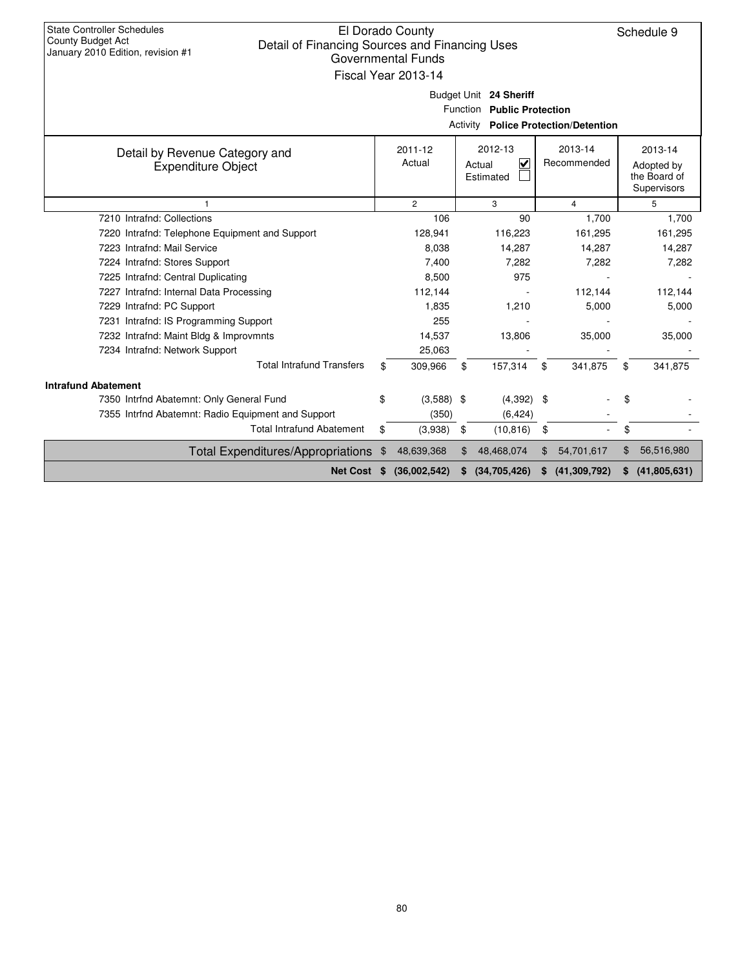| <b>State Controller Schedules</b><br><b>County Budget Act</b><br>Detail of Financing Sources and Financing Uses<br>January 2010 Edition, revision #1 | El Dorado County<br>Governmental Funds<br>Fiscal Year 2013-14 |    |                                                                                                     |     |                        | Schedule 9                                           |
|------------------------------------------------------------------------------------------------------------------------------------------------------|---------------------------------------------------------------|----|-----------------------------------------------------------------------------------------------------|-----|------------------------|------------------------------------------------------|
|                                                                                                                                                      |                                                               |    | Budget Unit 24 Sheriff<br>Function Public Protection<br><b>Activity Police Protection/Detention</b> |     |                        |                                                      |
| Detail by Revenue Category and<br><b>Expenditure Object</b>                                                                                          | 2011-12<br>Actual                                             |    | 2012-13<br>$\overline{\mathbf{v}}$<br>Actual<br>Estimated                                           |     | 2013-14<br>Recommended | 2013-14<br>Adopted by<br>the Board of<br>Supervisors |
|                                                                                                                                                      | $\mathbf{2}$                                                  |    | 3                                                                                                   |     | 4                      | 5                                                    |
| 7210 Intrafnd: Collections                                                                                                                           | 106                                                           |    | 90                                                                                                  |     | 1,700                  | 1,700                                                |
| 7220 Intrafnd: Telephone Equipment and Support                                                                                                       | 128,941                                                       |    | 116,223                                                                                             |     | 161,295                | 161,295                                              |
| 7223 Intrafnd: Mail Service                                                                                                                          | 8,038                                                         |    | 14,287                                                                                              |     | 14,287                 | 14,287                                               |
| 7224 Intrafnd: Stores Support                                                                                                                        | 7,400                                                         |    | 7.282                                                                                               |     | 7,282                  | 7,282                                                |
| 7225 Intrafnd: Central Duplicating                                                                                                                   | 8,500                                                         |    | 975                                                                                                 |     |                        |                                                      |
| 7227 Intrafnd: Internal Data Processing                                                                                                              | 112,144                                                       |    |                                                                                                     |     | 112,144                | 112,144                                              |
| 7229 Intrafnd: PC Support                                                                                                                            | 1.835                                                         |    | 1,210                                                                                               |     | 5,000                  | 5,000                                                |
| 7231 Intrafnd: IS Programming Support                                                                                                                | 255                                                           |    |                                                                                                     |     |                        |                                                      |
| 7232 Intrafnd: Maint Bldg & Improvmnts                                                                                                               | 14,537                                                        |    | 13,806                                                                                              |     | 35,000                 | 35,000                                               |
| 7234 Intrafnd: Network Support                                                                                                                       | 25,063                                                        |    |                                                                                                     |     |                        |                                                      |
| <b>Total Intrafund Transfers</b>                                                                                                                     | \$<br>309,966                                                 | \$ | 157,314                                                                                             | \$  | 341,875                | \$<br>341,875                                        |
| <b>Intrafund Abatement</b>                                                                                                                           |                                                               |    |                                                                                                     |     |                        |                                                      |
| 7350 Intrfnd Abatemnt: Only General Fund                                                                                                             | \$<br>$(3,588)$ \$                                            |    | $(4,392)$ \$                                                                                        |     |                        | \$                                                   |
| 7355 Intrfnd Abatemnt: Radio Equipment and Support                                                                                                   | (350)                                                         |    | (6, 424)                                                                                            |     |                        |                                                      |
| <b>Total Intrafund Abatement</b>                                                                                                                     | \$<br>(3,938)                                                 | \$ | (10, 816)                                                                                           | \$  |                        | \$                                                   |
| <b>Total Expenditures/Appropriations</b>                                                                                                             | \$<br>48,639,368                                              | \$ | 48,468,074                                                                                          | \$  | 54,701,617             | \$<br>56,516,980                                     |
| Net Cost \$                                                                                                                                          | (36,002,542)                                                  | S  | (34,705,426)                                                                                        | \$. | (41, 309, 792)         | \$ (41,805,631)                                      |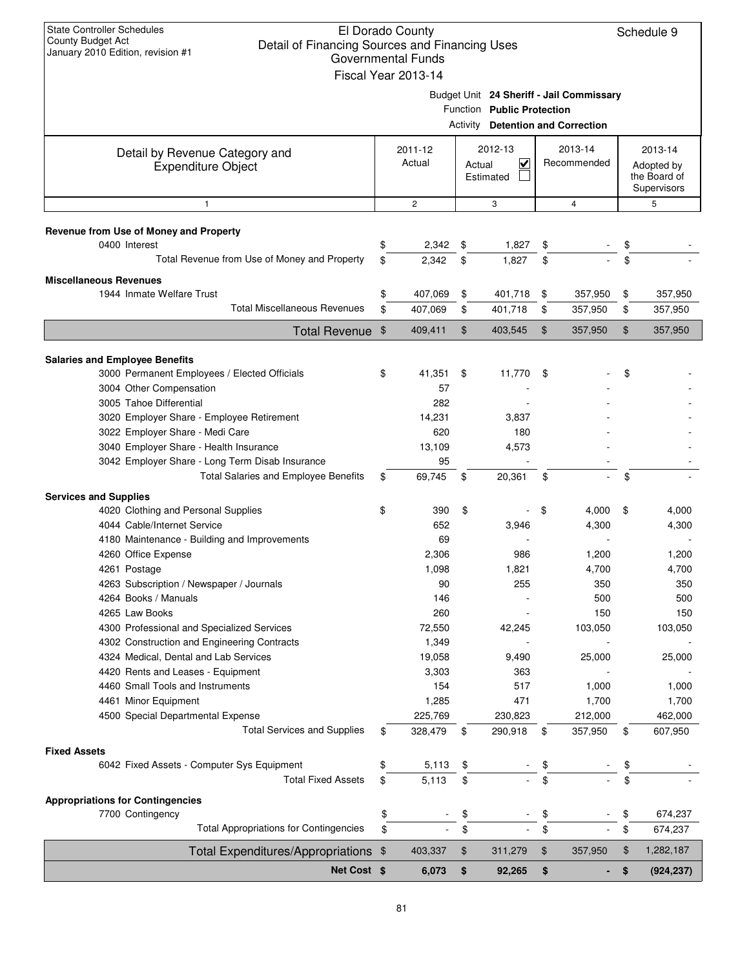| <b>State Controller Schedules</b><br>El Dorado County<br>County Budget Act<br>Detail of Financing Sources and Financing Uses<br>January 2010 Edition, revision #1<br><b>Governmental Funds</b><br>Fiscal Year 2013-14 |                |        | Schedule 9                 |                |                                          |                |              |
|-----------------------------------------------------------------------------------------------------------------------------------------------------------------------------------------------------------------------|----------------|--------|----------------------------|----------------|------------------------------------------|----------------|--------------|
|                                                                                                                                                                                                                       |                |        |                            |                | Budget Unit 24 Sheriff - Jail Commissary |                |              |
|                                                                                                                                                                                                                       |                |        | Function Public Protection |                |                                          |                |              |
|                                                                                                                                                                                                                       |                |        |                            |                | <b>Activity Detention and Correction</b> |                |              |
| Detail by Revenue Category and                                                                                                                                                                                        | 2011-12        |        | 2012-13                    |                | 2013-14                                  |                | 2013-14      |
| <b>Expenditure Object</b>                                                                                                                                                                                             | Actual         | Actual | $\checkmark$               |                | Recommended                              |                | Adopted by   |
|                                                                                                                                                                                                                       |                |        | Estimated                  |                |                                          |                | the Board of |
|                                                                                                                                                                                                                       |                |        |                            |                |                                          |                | Supervisors  |
| $\mathbf{1}$                                                                                                                                                                                                          | $\overline{c}$ |        | 3                          |                | $\overline{4}$                           |                | 5            |
| Revenue from Use of Money and Property                                                                                                                                                                                |                |        |                            |                |                                          |                |              |
| 0400 Interest                                                                                                                                                                                                         | \$<br>2,342    | \$     | 1,827                      | \$             |                                          | \$             |              |
| Total Revenue from Use of Money and Property                                                                                                                                                                          | \$<br>2,342    | \$     | 1,827                      | \$             |                                          | \$             |              |
|                                                                                                                                                                                                                       |                |        |                            |                |                                          |                |              |
| <b>Miscellaneous Revenues</b><br>1944 Inmate Welfare Trust                                                                                                                                                            | \$<br>407,069  | \$     | 401,718                    | \$             | 357,950                                  | \$             | 357,950      |
| <b>Total Miscellaneous Revenues</b>                                                                                                                                                                                   | \$<br>407,069  | \$     | 401,718                    | \$             | 357,950                                  | \$             | 357,950      |
|                                                                                                                                                                                                                       |                |        |                            |                |                                          |                |              |
| Total Revenue \$                                                                                                                                                                                                      | 409,411        | \$     | 403,545                    | $\mathfrak{F}$ | 357,950                                  | $\mathfrak{F}$ | 357,950      |
|                                                                                                                                                                                                                       |                |        |                            |                |                                          |                |              |
| <b>Salaries and Employee Benefits</b><br>3000 Permanent Employees / Elected Officials                                                                                                                                 | \$<br>41,351   | \$     | 11,770                     | -\$            |                                          | \$             |              |
| 3004 Other Compensation                                                                                                                                                                                               | 57             |        |                            |                |                                          |                |              |
| 3005 Tahoe Differential                                                                                                                                                                                               | 282            |        |                            |                |                                          |                |              |
| 3020 Employer Share - Employee Retirement                                                                                                                                                                             | 14,231         |        | 3,837                      |                |                                          |                |              |
| 3022 Employer Share - Medi Care                                                                                                                                                                                       | 620            |        | 180                        |                |                                          |                |              |
| 3040 Employer Share - Health Insurance                                                                                                                                                                                | 13,109         |        | 4,573                      |                |                                          |                |              |
| 3042 Employer Share - Long Term Disab Insurance                                                                                                                                                                       | 95             |        |                            |                |                                          |                |              |
| Total Salaries and Employee Benefits                                                                                                                                                                                  | \$<br>69,745   | \$     | 20,361                     | \$             |                                          | \$             |              |
|                                                                                                                                                                                                                       |                |        |                            |                |                                          |                |              |
| <b>Services and Supplies</b>                                                                                                                                                                                          |                |        |                            |                |                                          |                |              |
| 4020 Clothing and Personal Supplies                                                                                                                                                                                   | \$<br>390      | \$     |                            | \$             | 4,000                                    | \$             | 4,000        |
| 4044 Cable/Internet Service                                                                                                                                                                                           | 652            |        | 3,946                      |                | 4,300                                    |                | 4,300        |
| 4180 Maintenance - Building and Improvements                                                                                                                                                                          | 69             |        |                            |                |                                          |                |              |
| 4260 Office Expense                                                                                                                                                                                                   | 2,306          |        | 986                        |                | 1,200                                    |                | 1,200        |
| 4261 Postage                                                                                                                                                                                                          | 1,098          |        | 1,821                      |                | 4,700                                    |                | 4,700        |
| 4263 Subscription / Newspaper / Journals                                                                                                                                                                              | 90             |        | 255                        |                | 350                                      |                | 350          |
| 4264 Books / Manuals                                                                                                                                                                                                  | 146            |        |                            |                | 500                                      |                | 500          |
| 4265 Law Books                                                                                                                                                                                                        | 260            |        |                            |                | 150                                      |                | 150          |
| 4300 Professional and Specialized Services                                                                                                                                                                            | 72,550         |        | 42,245                     |                | 103,050                                  |                | 103,050      |
| 4302 Construction and Engineering Contracts                                                                                                                                                                           | 1,349          |        |                            |                |                                          |                |              |
| 4324 Medical, Dental and Lab Services                                                                                                                                                                                 | 19,058         |        | 9,490                      |                | 25,000                                   |                | 25,000       |
| 4420 Rents and Leases - Equipment                                                                                                                                                                                     | 3,303          |        | 363                        |                |                                          |                |              |
| 4460 Small Tools and Instruments                                                                                                                                                                                      | 154            |        | 517                        |                | 1,000                                    |                | 1,000        |
| 4461 Minor Equipment                                                                                                                                                                                                  | 1,285          |        | 471                        |                | 1,700                                    |                | 1,700        |
| 4500 Special Departmental Expense                                                                                                                                                                                     | 225,769        |        | 230,823                    |                | 212,000                                  |                | 462,000      |
| <b>Total Services and Supplies</b>                                                                                                                                                                                    | \$<br>328,479  | \$     | 290,918                    | \$             | 357,950                                  | \$             | 607,950      |
| <b>Fixed Assets</b>                                                                                                                                                                                                   |                |        |                            |                |                                          |                |              |
| 6042 Fixed Assets - Computer Sys Equipment                                                                                                                                                                            | \$<br>5,113    | \$     |                            | \$             |                                          | \$             |              |
| <b>Total Fixed Assets</b>                                                                                                                                                                                             | \$<br>5,113    | \$     |                            | \$             |                                          |                |              |
| <b>Appropriations for Contingencies</b>                                                                                                                                                                               |                |        |                            |                |                                          |                |              |
| 7700 Contingency                                                                                                                                                                                                      | \$             | \$     |                            | \$             |                                          | \$             | 674,237      |
| <b>Total Appropriations for Contingencies</b>                                                                                                                                                                         | \$             | \$     |                            | \$             |                                          | \$             | 674,237      |
| <b>Total Expenditures/Appropriations</b>                                                                                                                                                                              | \$<br>403,337  | \$     | 311,279                    | \$             | 357,950                                  | \$             | 1,282,187    |
| Net Cost \$                                                                                                                                                                                                           | 6,073          | \$     | 92,265                     | \$             | ٠                                        | \$             | (924, 237)   |
|                                                                                                                                                                                                                       |                |        |                            |                |                                          |                |              |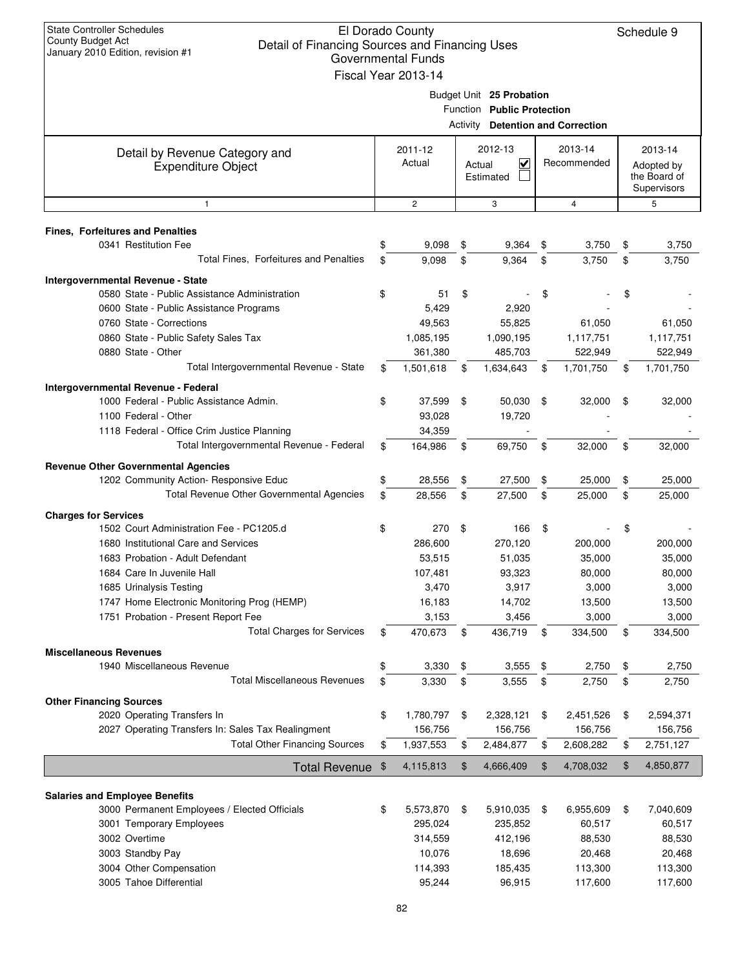| <b>State Controller Schedules</b><br>El Dorado County<br><b>County Budget Act</b><br>Detail of Financing Sources and Financing Uses<br>January 2010 Edition, revision #1<br><b>Governmental Funds</b><br>Fiscal Year 2013-14 |    |                   |        |                            |    |                                          |    |                       |
|------------------------------------------------------------------------------------------------------------------------------------------------------------------------------------------------------------------------------|----|-------------------|--------|----------------------------|----|------------------------------------------|----|-----------------------|
|                                                                                                                                                                                                                              |    |                   |        | Budget Unit 25 Probation   |    |                                          |    |                       |
|                                                                                                                                                                                                                              |    |                   |        | Function Public Protection |    |                                          |    |                       |
|                                                                                                                                                                                                                              |    |                   |        |                            |    | <b>Activity Detention and Correction</b> |    |                       |
|                                                                                                                                                                                                                              |    |                   |        | 2012-13                    |    | 2013-14                                  |    |                       |
| Detail by Revenue Category and                                                                                                                                                                                               |    | 2011-12<br>Actual | Actual | $\checkmark$               |    | Recommended                              |    | 2013-14<br>Adopted by |
| <b>Expenditure Object</b>                                                                                                                                                                                                    |    |                   |        | Estimated                  |    |                                          |    | the Board of          |
|                                                                                                                                                                                                                              |    |                   |        |                            |    |                                          |    | Supervisors           |
| $\mathbf{1}$                                                                                                                                                                                                                 |    | $\overline{2}$    |        | 3                          |    | $\overline{4}$                           |    | 5                     |
| <b>Fines, Forfeitures and Penalties</b>                                                                                                                                                                                      |    |                   |        |                            |    |                                          |    |                       |
| 0341 Restitution Fee                                                                                                                                                                                                         | \$ | 9,098             | \$     | 9,364                      | \$ | 3,750                                    | \$ | 3,750                 |
| Total Fines, Forfeitures and Penalties                                                                                                                                                                                       | \$ | 9,098             | \$     | 9,364                      | \$ | 3,750                                    | \$ | 3,750                 |
| Intergovernmental Revenue - State                                                                                                                                                                                            |    |                   |        |                            |    |                                          |    |                       |
| 0580 State - Public Assistance Administration                                                                                                                                                                                | \$ | 51                | \$     |                            | \$ |                                          | \$ |                       |
| 0600 State - Public Assistance Programs                                                                                                                                                                                      |    | 5,429             |        | 2,920                      |    |                                          |    |                       |
| 0760 State - Corrections                                                                                                                                                                                                     |    | 49,563            |        | 55,825                     |    | 61,050                                   |    | 61,050                |
| 0860 State - Public Safety Sales Tax                                                                                                                                                                                         |    | 1,085,195         |        | 1,090,195                  |    | 1,117,751                                |    | 1,117,751             |
| 0880 State - Other                                                                                                                                                                                                           |    | 361,380           |        | 485,703                    |    | 522,949                                  |    | 522,949               |
| Total Intergovernmental Revenue - State                                                                                                                                                                                      | \$ | 1,501,618         | \$     | 1,634,643                  | \$ | 1,701,750                                | \$ | 1,701,750             |
| Intergovernmental Revenue - Federal                                                                                                                                                                                          |    |                   |        |                            |    |                                          |    |                       |
| 1000 Federal - Public Assistance Admin.                                                                                                                                                                                      | \$ | 37,599            | \$     | 50,030                     | \$ | 32,000                                   | \$ | 32,000                |
| 1100 Federal - Other                                                                                                                                                                                                         |    | 93,028            |        | 19,720                     |    |                                          |    |                       |
| 1118 Federal - Office Crim Justice Planning                                                                                                                                                                                  |    | 34,359            |        |                            |    |                                          |    |                       |
| Total Intergovernmental Revenue - Federal                                                                                                                                                                                    | \$ | 164,986           | \$     | 69,750                     | \$ | 32,000                                   | \$ | 32,000                |
| <b>Revenue Other Governmental Agencies</b>                                                                                                                                                                                   |    |                   |        |                            |    |                                          |    |                       |
| 1202 Community Action- Responsive Educ                                                                                                                                                                                       | \$ | 28,556            | \$     | 27,500                     | \$ | 25,000                                   | \$ | 25,000                |
| Total Revenue Other Governmental Agencies                                                                                                                                                                                    | \$ | 28,556            | \$     | 27,500                     | \$ | 25,000                                   | \$ | 25,000                |
| <b>Charges for Services</b>                                                                                                                                                                                                  |    |                   |        |                            |    |                                          |    |                       |
| 1502 Court Administration Fee - PC1205.d                                                                                                                                                                                     | \$ | 270               | \$     | 166                        | \$ |                                          | \$ |                       |
| 1680 Institutional Care and Services                                                                                                                                                                                         |    | 286,600           |        | 270,120                    |    | 200,000                                  |    | 200,000               |
| 1683 Probation - Adult Defendant                                                                                                                                                                                             |    | 53,515            |        | 51,035                     |    | 35,000                                   |    | 35,000                |
| 1684 Care In Juvenile Hall                                                                                                                                                                                                   |    | 107,481           |        | 93,323                     |    | 80,000                                   |    | 80,000                |
| 1685 Urinalysis Testing<br>1747 Home Electronic Monitoring Prog (HEMP)                                                                                                                                                       |    | 3,470             |        | 3,917<br>14,702            |    | 3,000                                    |    | 3,000                 |
| 1751 Probation - Present Report Fee                                                                                                                                                                                          |    | 16,183<br>3,153   |        | 3,456                      |    | 13,500<br>3,000                          |    | 13,500<br>3,000       |
| <b>Total Charges for Services</b>                                                                                                                                                                                            | \$ | 470,673           | \$     | 436,719                    | \$ | 334,500                                  | \$ | 334,500               |
|                                                                                                                                                                                                                              |    |                   |        |                            |    |                                          |    |                       |
| <b>Miscellaneous Revenues</b><br>1940 Miscellaneous Revenue                                                                                                                                                                  | \$ | 3,330             | \$     | 3,555                      | \$ | 2,750                                    | \$ | 2,750                 |
| <b>Total Miscellaneous Revenues</b>                                                                                                                                                                                          | \$ | 3,330             | \$     | 3,555                      | \$ | 2,750                                    | \$ | 2,750                 |
|                                                                                                                                                                                                                              |    |                   |        |                            |    |                                          |    |                       |
| <b>Other Financing Sources</b><br>2020 Operating Transfers In                                                                                                                                                                | \$ | 1,780,797         | \$     | 2,328,121                  | \$ | 2,451,526                                | \$ | 2,594,371             |
| 2027 Operating Transfers In: Sales Tax Realingment                                                                                                                                                                           |    | 156,756           |        | 156,756                    |    | 156,756                                  |    | 156,756               |
| <b>Total Other Financing Sources</b>                                                                                                                                                                                         | \$ | 1,937,553         | \$     | 2,484,877                  | \$ | 2,608,282                                | \$ | 2,751,127             |
| <b>Total Revenue</b>                                                                                                                                                                                                         | \$ | 4,115,813         | \$     | 4,666,409                  | \$ | 4,708,032                                | \$ | 4,850,877             |
|                                                                                                                                                                                                                              |    |                   |        |                            |    |                                          |    |                       |
| <b>Salaries and Employee Benefits</b>                                                                                                                                                                                        |    |                   |        |                            |    |                                          |    |                       |
| 3000 Permanent Employees / Elected Officials                                                                                                                                                                                 | \$ | 5,573,870         | \$     | 5,910,035                  | \$ | 6,955,609                                | \$ | 7,040,609             |
| 3001 Temporary Employees                                                                                                                                                                                                     |    | 295,024           |        | 235,852                    |    | 60,517                                   |    | 60,517                |
| 3002 Overtime                                                                                                                                                                                                                |    | 314,559           |        | 412,196                    |    | 88,530                                   |    | 88,530                |
| 3003 Standby Pay                                                                                                                                                                                                             |    | 10,076            |        | 18,696                     |    | 20,468                                   |    | 20,468                |
| 3004 Other Compensation                                                                                                                                                                                                      |    | 114,393           |        | 185,435                    |    | 113,300                                  |    | 113,300               |
| 3005 Tahoe Differential                                                                                                                                                                                                      |    | 95,244            |        | 96,915                     |    | 117,600                                  |    | 117,600               |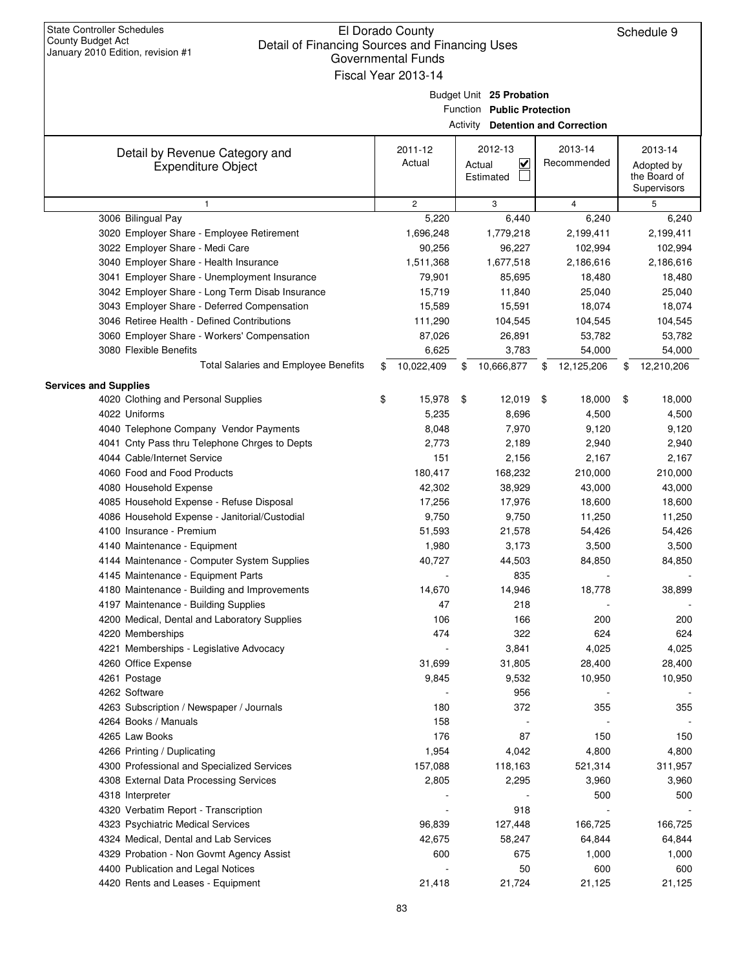| January 2010 Edition, revision #1               | Governmental Funds      |                                          |                  |                             |
|-------------------------------------------------|-------------------------|------------------------------------------|------------------|-----------------------------|
|                                                 | Fiscal Year 2013-14     |                                          |                  |                             |
|                                                 |                         | Budget Unit 25 Probation                 |                  |                             |
|                                                 |                         | Function Public Protection               |                  |                             |
|                                                 |                         | <b>Activity Detention and Correction</b> |                  |                             |
|                                                 |                         |                                          |                  |                             |
| Detail by Revenue Category and                  | 2011-12                 | 2012-13                                  | 2013-14          | 2013-14                     |
| <b>Expenditure Object</b>                       | Actual                  | K<br>Actual                              | Recommended      | Adopted by                  |
|                                                 |                         | Estimated                                |                  | the Board of<br>Supervisors |
|                                                 |                         |                                          |                  |                             |
| $\mathbf{1}$<br>3006 Bilingual Pay              | $\overline{c}$<br>5,220 | 3<br>6,440                               | 4<br>6,240       | 5<br>6,240                  |
| 3020 Employer Share - Employee Retirement       | 1,696,248               | 1,779,218                                | 2,199,411        | 2,199,411                   |
| 3022 Employer Share - Medi Care                 | 90,256                  | 96,227                                   | 102,994          | 102,994                     |
|                                                 |                         |                                          |                  |                             |
| 3040 Employer Share - Health Insurance          | 1,511,368               | 1,677,518                                | 2,186,616        | 2,186,616                   |
| 3041 Employer Share - Unemployment Insurance    | 79,901                  | 85,695                                   | 18,480           | 18,480                      |
| 3042 Employer Share - Long Term Disab Insurance | 15,719                  | 11,840<br>15,591                         | 25,040           | 25,040                      |
| 3043 Employer Share - Deferred Compensation     | 15,589                  |                                          | 18,074           | 18,074                      |
| 3046 Retiree Health - Defined Contributions     | 111,290                 | 104,545                                  | 104,545          | 104,545                     |
| 3060 Employer Share - Workers' Compensation     | 87,026                  | 26,891                                   | 53,782           | 53,782                      |
| 3080 Flexible Benefits                          | 6,625                   | 3,783                                    | 54,000           | 54,000                      |
| <b>Total Salaries and Employee Benefits</b>     | \$<br>10,022,409        | \$<br>10,666,877                         | \$<br>12,125,206 | \$<br>12,210,206            |
| <b>Services and Supplies</b>                    |                         |                                          |                  |                             |
| 4020 Clothing and Personal Supplies             | \$<br>15,978            | \$<br>12,019                             | \$<br>18,000     | \$<br>18,000                |
| 4022 Uniforms                                   | 5,235                   | 8,696                                    | 4,500            | 4,500                       |
| 4040 Telephone Company Vendor Payments          | 8,048                   | 7,970                                    | 9,120            | 9,120                       |
| 4041 Cnty Pass thru Telephone Chrges to Depts   | 2,773                   | 2,189                                    | 2,940            | 2,940                       |
| 4044 Cable/Internet Service                     | 151                     | 2,156                                    | 2,167            | 2,167                       |
| 4060 Food and Food Products                     | 180,417                 | 168,232                                  | 210,000          | 210,000                     |
| 4080 Household Expense                          | 42,302                  | 38,929                                   | 43,000           | 43,000                      |
| 4085 Household Expense - Refuse Disposal        | 17,256                  | 17,976                                   | 18,600           | 18,600                      |
| 4086 Household Expense - Janitorial/Custodial   | 9,750                   | 9,750                                    | 11,250           | 11,250                      |
| 4100 Insurance - Premium                        | 51,593                  | 21,578                                   | 54,426           | 54,426                      |
| 4140 Maintenance - Equipment                    | 1,980                   | 3,173                                    | 3,500            | 3,500                       |
| 4144 Maintenance - Computer System Supplies     | 40,727                  | 44,503                                   | 84,850           | 84,850                      |
| 4145 Maintenance - Equipment Parts              |                         | 835                                      |                  |                             |
| 4180 Maintenance - Building and Improvements    | 14,670                  | 14,946                                   | 18,778           | 38,899                      |
| 4197 Maintenance - Building Supplies            | 47                      | 218                                      |                  |                             |
| 4200 Medical, Dental and Laboratory Supplies    | 106                     | 166                                      | 200              | 200                         |
| 4220 Memberships                                | 474                     | 322                                      | 624              | 624                         |
| 4221 Memberships - Legislative Advocacy         |                         | 3,841                                    | 4,025            | 4,025                       |
| 4260 Office Expense                             | 31,699                  | 31,805                                   | 28,400           | 28,400                      |
| 4261 Postage                                    | 9,845                   | 9,532                                    | 10,950           | 10,950                      |
| 4262 Software                                   |                         | 956                                      |                  |                             |
| 4263 Subscription / Newspaper / Journals        | 180                     | 372                                      | 355              | 355                         |
| 4264 Books / Manuals                            | 158                     |                                          |                  |                             |
| 4265 Law Books                                  | 176                     | 87                                       | 150              | 150                         |
| 4266 Printing / Duplicating                     | 1,954                   | 4,042                                    | 4,800            | 4,800                       |
| 4300 Professional and Specialized Services      | 157,088                 | 118,163                                  | 521,314          | 311,957                     |
| 4308 External Data Processing Services          | 2,805                   | 2,295                                    | 3,960            | 3,960                       |
| 4318 Interpreter                                |                         |                                          | 500              | 500                         |
| 4320 Verbatim Report - Transcription            |                         | 918                                      |                  |                             |
| 4323 Psychiatric Medical Services               | 96,839                  | 127,448                                  | 166,725          | 166,725                     |
| 4324 Medical, Dental and Lab Services           | 42,675                  | 58,247                                   | 64,844           | 64,844                      |
|                                                 |                         |                                          |                  |                             |
| 4329 Probation - Non Govmt Agency Assist        | 600                     | 675<br>50                                | 1,000<br>600     | 1,000                       |
| 4400 Publication and Legal Notices              |                         |                                          |                  | 600                         |
| 4420 Rents and Leases - Equipment               | 21,418                  | 21,724                                   | 21,125           | 21,125                      |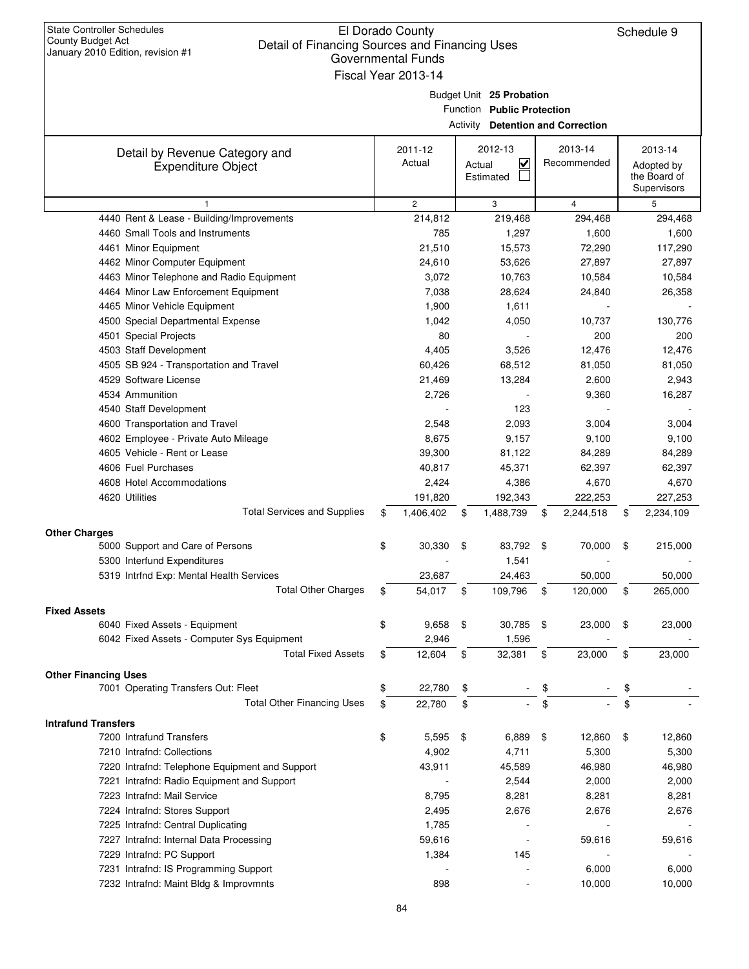| January 2010 Edition, revision #1                        | <b>Governmental Funds</b> |                                          |                          |                 |
|----------------------------------------------------------|---------------------------|------------------------------------------|--------------------------|-----------------|
|                                                          | Fiscal Year 2013-14       |                                          |                          |                 |
|                                                          |                           | Budget Unit 25 Probation                 |                          |                 |
|                                                          |                           | Function Public Protection               |                          |                 |
|                                                          |                           | <b>Activity Detention and Correction</b> |                          |                 |
| Detail by Revenue Category and                           | 2011-12                   | 2012-13                                  | 2013-14                  | 2013-14         |
| <b>Expenditure Object</b>                                | Actual                    | $\overline{\mathbf{v}}$<br>Actual        | Recommended              | Adopted by      |
|                                                          |                           | Estimated                                |                          | the Board of    |
|                                                          |                           |                                          |                          | Supervisors     |
| $\mathbf{1}$                                             | $\mathbf{2}$              | 3                                        | $\overline{4}$           | 5               |
| 4440 Rent & Lease - Building/Improvements                | 214,812                   | 219,468                                  | 294,468                  | 294,468         |
| 4460 Small Tools and Instruments                         | 785                       | 1,297                                    | 1,600                    | 1,600           |
| 4461 Minor Equipment                                     | 21,510                    | 15,573                                   | 72,290                   | 117,290         |
| 4462 Minor Computer Equipment                            | 24,610                    | 53,626                                   | 27,897                   | 27,897          |
| 4463 Minor Telephone and Radio Equipment                 | 3,072                     | 10,763                                   | 10,584                   | 10,584          |
| 4464 Minor Law Enforcement Equipment                     | 7,038                     | 28,624                                   | 24,840                   | 26,358          |
| 4465 Minor Vehicle Equipment                             | 1,900                     | 1,611                                    |                          |                 |
| 4500 Special Departmental Expense                        | 1,042                     | 4,050                                    | 10,737                   | 130,776         |
| 4501 Special Projects                                    | 80                        |                                          | 200                      | 200             |
| 4503 Staff Development                                   | 4,405                     | 3,526                                    | 12,476                   | 12,476          |
| 4505 SB 924 - Transportation and Travel                  | 60,426                    | 68,512                                   | 81,050                   | 81,050          |
| 4529 Software License                                    | 21,469                    | 13,284                                   | 2,600                    | 2,943           |
| 4534 Ammunition<br>4540 Staff Development                | 2,726                     | 123                                      | 9,360                    | 16,287          |
| 4600 Transportation and Travel                           | 2,548                     | 2,093                                    | 3,004                    | 3,004           |
| 4602 Employee - Private Auto Mileage                     | 8,675                     | 9,157                                    | 9,100                    | 9,100           |
| 4605 Vehicle - Rent or Lease                             | 39,300                    | 81,122                                   | 84,289                   | 84,289          |
| 4606 Fuel Purchases                                      | 40,817                    | 45,371                                   | 62,397                   | 62,397          |
| 4608 Hotel Accommodations                                | 2,424                     | 4,386                                    | 4,670                    | 4,670           |
| 4620 Utilities                                           | 191,820                   | 192,343                                  | 222,253                  | 227,253         |
| <b>Total Services and Supplies</b>                       | \$<br>1,406,402           | \$<br>1,488,739                          | \$<br>2,244,518          | \$<br>2,234,109 |
|                                                          |                           |                                          |                          |                 |
| <b>Other Charges</b><br>5000 Support and Care of Persons | \$<br>30,330              | \$<br>83,792                             | \$<br>70,000             | \$<br>215,000   |
| 5300 Interfund Expenditures                              |                           | 1,541                                    |                          |                 |
| 5319 Intrfnd Exp: Mental Health Services                 | 23,687                    | 24,463                                   | 50,000                   | 50,000          |
| <b>Total Other Charges</b>                               | 54,017                    | 109,796                                  | 120,000                  | 265,000         |
|                                                          | \$                        | \$                                       | \$                       | \$              |
| <b>Fixed Assets</b>                                      |                           |                                          |                          |                 |
| 6040 Fixed Assets - Equipment                            | \$<br>9,658               | \$<br>30,785                             | \$<br>23,000             | \$<br>23,000    |
| 6042 Fixed Assets - Computer Sys Equipment               | 2,946                     | 1,596                                    |                          |                 |
| <b>Total Fixed Assets</b>                                | \$<br>12,604              | \$<br>32,381                             | \$<br>23,000             | \$<br>23,000    |
| <b>Other Financing Uses</b>                              |                           |                                          |                          |                 |
| 7001 Operating Transfers Out: Fleet                      | \$<br>22,780              | \$                                       | \$                       | \$              |
| <b>Total Other Financing Uses</b>                        | \$<br>22,780              | \$                                       | \$                       | \$              |
| <b>Intrafund Transfers</b>                               |                           |                                          |                          |                 |
| 7200 Intrafund Transfers                                 | \$<br>5,595               | \$<br>6,889                              | \$<br>12,860             | \$<br>12,860    |
| 7210 Intrafnd: Collections                               | 4,902                     | 4,711                                    | 5,300                    | 5,300           |
| 7220 Intrafnd: Telephone Equipment and Support           | 43,911                    | 45,589                                   | 46,980                   | 46,980          |
| 7221 Intrafnd: Radio Equipment and Support               | $\overline{\phantom{a}}$  | 2,544                                    | 2,000                    | 2,000           |
| 7223 Intrafnd: Mail Service                              | 8,795                     | 8,281                                    | 8,281                    | 8,281           |
| 7224 Intrafnd: Stores Support                            | 2,495                     | 2,676                                    | 2,676                    | 2,676           |
| 7225 Intrafnd: Central Duplicating                       | 1,785                     | $\overline{\phantom{a}}$                 | $\overline{\phantom{a}}$ |                 |
| 7227 Intrafnd: Internal Data Processing                  | 59,616                    | $\overline{\phantom{a}}$                 | 59,616                   | 59,616          |
| 7229 Intrafnd: PC Support                                | 1,384                     | 145                                      |                          |                 |
| 7231 Intrafnd: IS Programming Support                    |                           |                                          | 6,000                    | 6,000           |
| 7232 Intrafnd: Maint Bldg & Improvmnts                   | 898                       | $\overline{\phantom{a}}$                 | 10,000                   | 10,000          |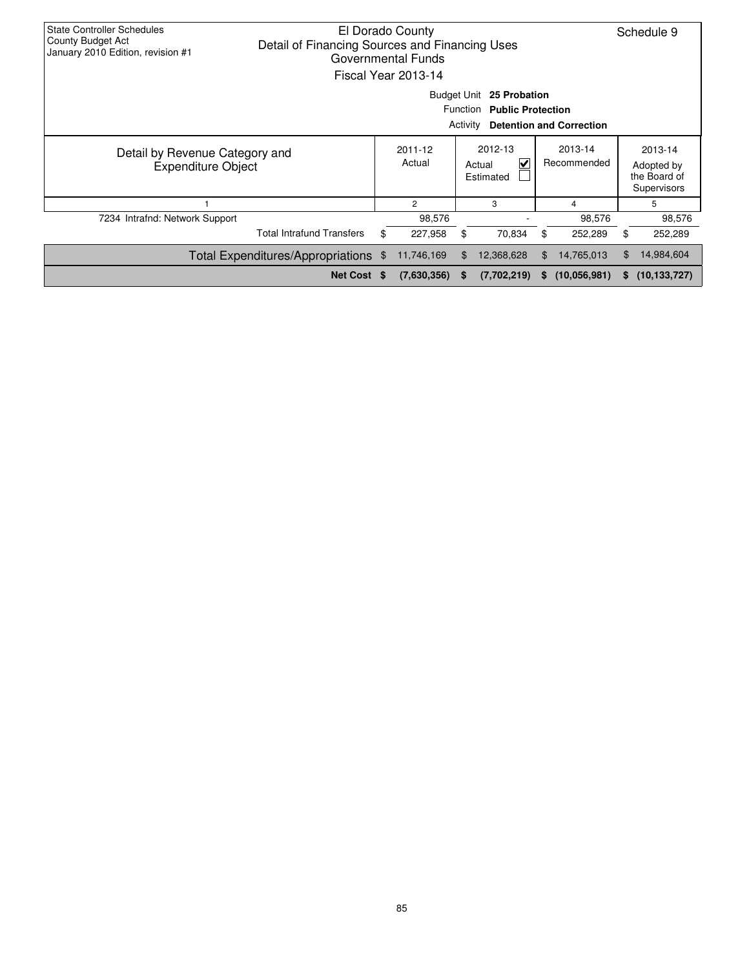| <b>State Controller Schedules</b><br>El Dorado County<br>County Budget Act<br>Detail of Financing Sources and Financing Uses<br>January 2010 Edition, revision #1<br>Governmental Funds<br>Fiscal Year 2013-14 |                                                                                                                           |    |                   |                                     |             |    |                        |    |                                                      |  |  |
|----------------------------------------------------------------------------------------------------------------------------------------------------------------------------------------------------------------|---------------------------------------------------------------------------------------------------------------------------|----|-------------------|-------------------------------------|-------------|----|------------------------|----|------------------------------------------------------|--|--|
|                                                                                                                                                                                                                | <b>Budget Unit</b><br>25 Probation<br>Function<br><b>Public Protection</b><br><b>Detention and Correction</b><br>Activity |    |                   |                                     |             |    |                        |    |                                                      |  |  |
| Detail by Revenue Category and<br><b>Expenditure Object</b>                                                                                                                                                    |                                                                                                                           |    | 2011-12<br>Actual | 2012-13<br>V<br>Actual<br>Estimated |             |    | 2013-14<br>Recommended |    | 2013-14<br>Adopted by<br>the Board of<br>Supervisors |  |  |
|                                                                                                                                                                                                                |                                                                                                                           |    | $\overline{2}$    |                                     | 3           |    | 4                      |    | 5                                                    |  |  |
| 7234 Intrafnd: Network Support                                                                                                                                                                                 |                                                                                                                           |    | 98,576            |                                     |             |    | 98,576                 |    | 98,576                                               |  |  |
|                                                                                                                                                                                                                | <b>Total Intrafund Transfers</b>                                                                                          | \$ | 227,958           | \$                                  | 70,834      | \$ | 252,289                | \$ | 252,289                                              |  |  |
|                                                                                                                                                                                                                | Total Expenditures/Appropriations \$                                                                                      |    | 11,746,169        | \$.                                 | 12,368,628  | \$ | 14,765,013             | \$ | 14,984,604                                           |  |  |
|                                                                                                                                                                                                                | <b>Net Cost</b>                                                                                                           | -S | (7,630,356)       | 5                                   | (7,702,219) | S. | (10,056,981)           | S. | (10, 133, 727)                                       |  |  |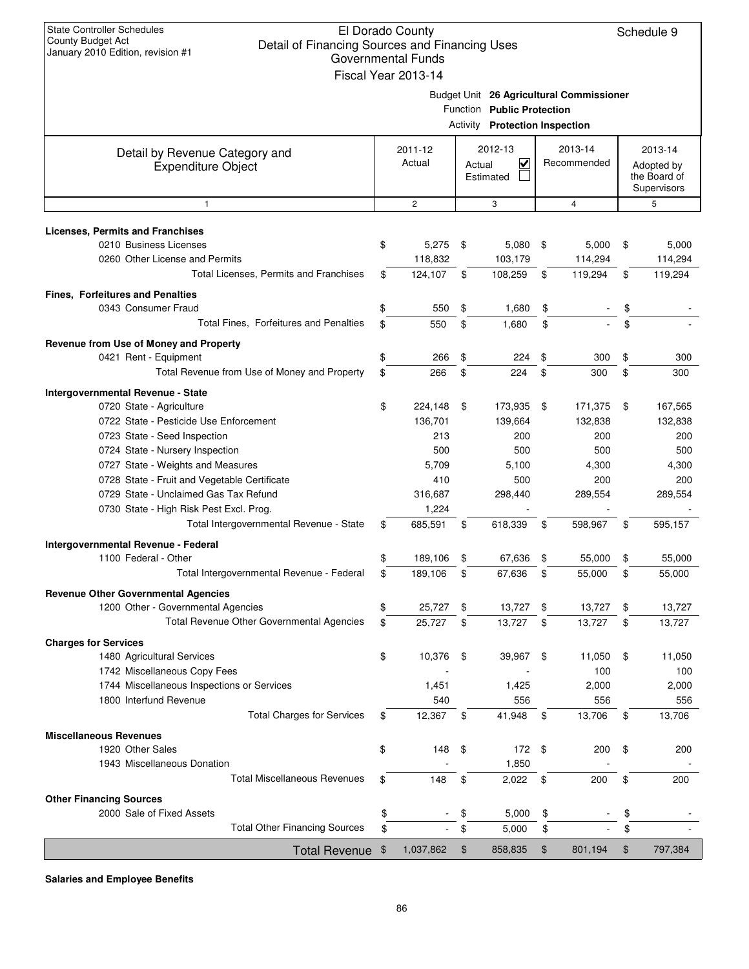| <b>State Controller Schedules</b><br><b>County Budget Act</b><br>Detail of Financing Sources and Financing Uses<br>January 2010 Edition, revision #1 | El Dorado County                                 |                                                                                                                 |                          |                |                |                                           | Schedule 9 |  |
|------------------------------------------------------------------------------------------------------------------------------------------------------|--------------------------------------------------|-----------------------------------------------------------------------------------------------------------------|--------------------------|----------------|----------------|-------------------------------------------|------------|--|
|                                                                                                                                                      | <b>Governmental Funds</b><br>Fiscal Year 2013-14 |                                                                                                                 |                          |                |                |                                           |            |  |
|                                                                                                                                                      |                                                  | Budget Unit 26 Agricultural Commissioner<br>Function Public Protection<br><b>Activity Protection Inspection</b> |                          |                |                |                                           |            |  |
|                                                                                                                                                      | 2011-12                                          |                                                                                                                 | 2012-13                  |                | 2013-14        |                                           | 2013-14    |  |
| Detail by Revenue Category and<br><b>Expenditure Object</b>                                                                                          | Actual                                           |                                                                                                                 | V<br>Actual<br>Estimated | Recommended    |                | Adopted by<br>the Board of<br>Supervisors |            |  |
| $\mathbf{1}$                                                                                                                                         | $\overline{c}$                                   |                                                                                                                 | 3                        |                | $\overline{4}$ |                                           | 5          |  |
| <b>Licenses, Permits and Franchises</b>                                                                                                              |                                                  |                                                                                                                 |                          |                |                |                                           |            |  |
| 0210 Business Licenses                                                                                                                               | \$<br>5,275                                      | \$                                                                                                              | 5,080                    | \$             | 5,000          | \$                                        | 5,000      |  |
| 0260 Other License and Permits                                                                                                                       | 118,832                                          |                                                                                                                 | 103,179                  |                | 114,294        |                                           | 114,294    |  |
| Total Licenses, Permits and Franchises                                                                                                               | \$<br>124,107                                    | \$                                                                                                              | 108,259                  | \$             | 119,294        | \$                                        | 119,294    |  |
| <b>Fines, Forfeitures and Penalties</b>                                                                                                              |                                                  |                                                                                                                 |                          |                |                |                                           |            |  |
| 0343 Consumer Fraud                                                                                                                                  | \$<br>550                                        | \$                                                                                                              | 1,680                    | \$             |                | \$                                        |            |  |
| Total Fines, Forfeitures and Penalties                                                                                                               | \$<br>550                                        | \$                                                                                                              | 1,680                    | \$             |                | \$                                        |            |  |
| Revenue from Use of Money and Property                                                                                                               |                                                  |                                                                                                                 |                          |                |                |                                           |            |  |
| 0421 Rent - Equipment                                                                                                                                | \$<br>266                                        | \$                                                                                                              | 224                      | \$             | 300            | \$                                        | 300        |  |
| Total Revenue from Use of Money and Property                                                                                                         | \$<br>266                                        | \$                                                                                                              | 224                      | \$             | 300            | \$                                        | 300        |  |
| Intergovernmental Revenue - State                                                                                                                    |                                                  |                                                                                                                 |                          |                |                |                                           |            |  |
| 0720 State - Agriculture                                                                                                                             | \$<br>224,148                                    | \$                                                                                                              | 173,935                  | -\$            | 171,375        | \$                                        | 167,565    |  |
| 0722 State - Pesticide Use Enforcement                                                                                                               | 136,701                                          |                                                                                                                 | 139,664                  |                | 132,838        |                                           | 132,838    |  |
| 0723 State - Seed Inspection                                                                                                                         | 213                                              |                                                                                                                 | 200                      |                | 200            |                                           | 200        |  |
| 0724 State - Nursery Inspection                                                                                                                      | 500                                              |                                                                                                                 | 500                      |                | 500            |                                           | 500        |  |
| 0727 State - Weights and Measures                                                                                                                    | 5,709                                            |                                                                                                                 | 5,100                    |                | 4,300          |                                           | 4,300      |  |
| 0728 State - Fruit and Vegetable Certificate                                                                                                         | 410                                              |                                                                                                                 | 500                      |                | 200            |                                           | 200        |  |
| 0729 State - Unclaimed Gas Tax Refund                                                                                                                | 316,687                                          |                                                                                                                 | 298,440                  |                | 289,554        |                                           | 289,554    |  |
| 0730 State - High Risk Pest Excl. Prog.                                                                                                              | 1,224                                            |                                                                                                                 |                          |                |                |                                           |            |  |
| Total Intergovernmental Revenue - State                                                                                                              | \$<br>685,591                                    | \$                                                                                                              | 618,339                  | \$             | 598,967        | \$                                        | 595,157    |  |
| Intergovernmental Revenue - Federal                                                                                                                  |                                                  |                                                                                                                 |                          |                |                |                                           |            |  |
| 1100 Federal - Other                                                                                                                                 | \$<br>189,106                                    | \$                                                                                                              | 67,636                   | \$             | 55,000         | \$                                        | 55,000     |  |
| Total Intergovernmental Revenue - Federal                                                                                                            | \$<br>189,106                                    | \$                                                                                                              | 67,636                   | \$             | 55,000         | \$                                        | 55,000     |  |
| <b>Revenue Other Governmental Agencies</b>                                                                                                           |                                                  |                                                                                                                 |                          |                |                |                                           |            |  |
| 1200 Other - Governmental Agencies                                                                                                                   | \$<br>25,727                                     | \$                                                                                                              | 13,727                   | \$             | 13,727         | \$                                        | 13,727     |  |
| Total Revenue Other Governmental Agencies                                                                                                            | \$<br>25,727                                     | \$                                                                                                              | 13,727                   | \$             | 13,727         | \$                                        | 13,727     |  |
| <b>Charges for Services</b>                                                                                                                          |                                                  |                                                                                                                 |                          |                |                |                                           |            |  |
| 1480 Agricultural Services                                                                                                                           | \$<br>10,376                                     | \$                                                                                                              | 39,967                   | \$             | 11,050         | \$                                        | 11,050     |  |
| 1742 Miscellaneous Copy Fees                                                                                                                         |                                                  |                                                                                                                 |                          |                | 100            |                                           | 100        |  |
| 1744 Miscellaneous Inspections or Services                                                                                                           | 1,451                                            |                                                                                                                 | 1,425                    |                | 2,000          |                                           | 2,000      |  |
| 1800 Interfund Revenue                                                                                                                               | 540                                              |                                                                                                                 | 556                      |                | 556            |                                           | 556        |  |
| <b>Total Charges for Services</b>                                                                                                                    | \$<br>12,367                                     | \$                                                                                                              | 41,948                   | \$             | 13,706         | \$                                        | 13,706     |  |
| <b>Miscellaneous Revenues</b>                                                                                                                        |                                                  |                                                                                                                 |                          |                |                |                                           |            |  |
| 1920 Other Sales                                                                                                                                     | \$<br>148                                        | \$                                                                                                              | 172                      | \$             | 200            | \$                                        | 200        |  |
| 1943 Miscellaneous Donation                                                                                                                          |                                                  |                                                                                                                 | 1,850                    |                |                |                                           |            |  |
| <b>Total Miscellaneous Revenues</b>                                                                                                                  | \$<br>148                                        | \$                                                                                                              | 2,022                    | \$             | 200            | \$                                        | 200        |  |
| <b>Other Financing Sources</b>                                                                                                                       |                                                  |                                                                                                                 |                          |                |                |                                           |            |  |
| 2000 Sale of Fixed Assets                                                                                                                            | \$                                               | \$                                                                                                              | 5,000                    | \$             |                | \$                                        |            |  |
| <b>Total Other Financing Sources</b>                                                                                                                 | \$                                               | \$                                                                                                              | 5,000                    | \$             |                | \$                                        |            |  |
| Total Revenue \$                                                                                                                                     | 1,037,862                                        | $\mathfrak{F}$                                                                                                  | 858,835                  | $\mathfrak{F}$ | 801,194        | $\frac{1}{2}$                             | 797,384    |  |

#### **Salaries and Employee Benefits**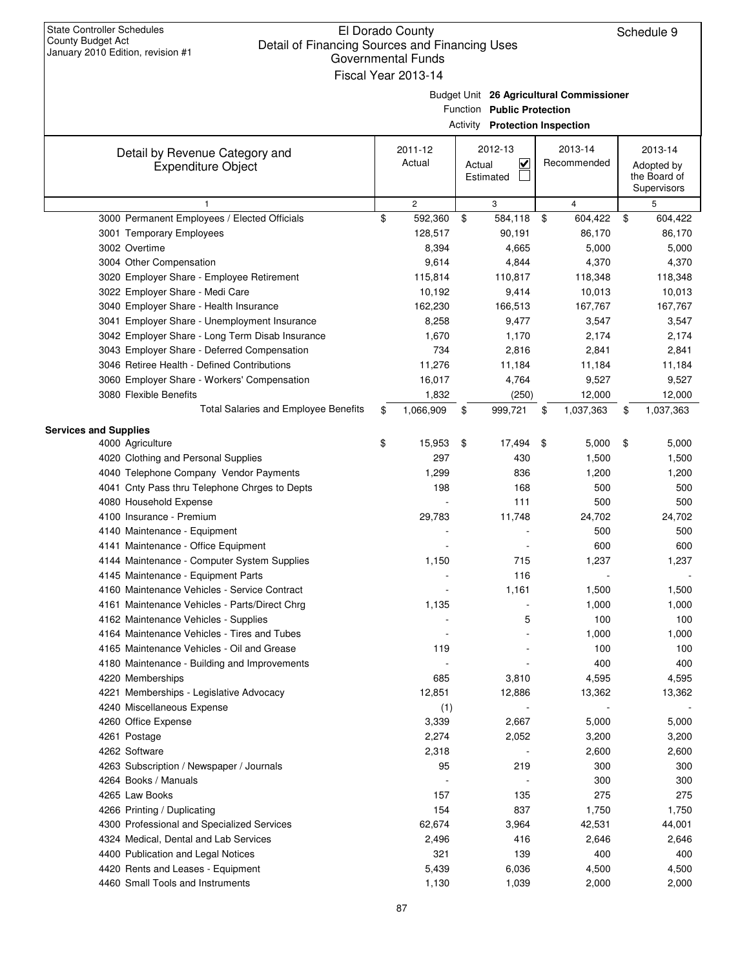# El Dorado County Governmental Funds

| County Budget Act<br>Detail of Financing Sources and Financing Uses<br>January 2010 Edition, revision #1 |                           |        |                                |                                          |                             |
|----------------------------------------------------------------------------------------------------------|---------------------------|--------|--------------------------------|------------------------------------------|-----------------------------|
|                                                                                                          | <b>Governmental Funds</b> |        |                                |                                          |                             |
|                                                                                                          | Fiscal Year 2013-14       |        |                                |                                          |                             |
|                                                                                                          |                           |        |                                | Budget Unit 26 Agricultural Commissioner |                             |
|                                                                                                          |                           |        | Function Public Protection     |                                          |                             |
|                                                                                                          |                           |        | Activity Protection Inspection |                                          |                             |
| Detail by Revenue Category and                                                                           | 2011-12                   |        | 2012-13                        | 2013-14                                  | 2013-14                     |
| <b>Expenditure Object</b>                                                                                | Actual                    | Actual | $\checkmark$                   | Recommended                              | Adopted by                  |
|                                                                                                          |                           |        | Estimated                      |                                          | the Board of<br>Supervisors |
| $\mathbf{1}$                                                                                             | $\mathbf{2}^{\prime}$     |        | 3                              | 4                                        | 5                           |
| 3000 Permanent Employees / Elected Officials                                                             | \$<br>592,360             | \$     | 584,118                        | \$<br>604,422                            | \$<br>604,422               |
| 3001 Temporary Employees                                                                                 | 128,517                   |        | 90,191                         | 86,170                                   | 86,170                      |
| 3002 Overtime                                                                                            | 8,394                     |        | 4,665                          | 5,000                                    | 5,000                       |
| 3004 Other Compensation                                                                                  | 9,614                     |        | 4,844                          | 4,370                                    | 4,370                       |
| 3020 Employer Share - Employee Retirement                                                                | 115,814                   |        | 110,817                        | 118,348                                  | 118,348                     |
| 3022 Employer Share - Medi Care                                                                          | 10,192                    |        | 9,414                          | 10,013                                   | 10,013                      |
| 3040 Employer Share - Health Insurance                                                                   | 162,230                   |        | 166,513                        | 167,767                                  | 167,767                     |
| 3041 Employer Share - Unemployment Insurance                                                             | 8,258                     |        | 9,477                          | 3,547                                    | 3,547                       |
| 3042 Employer Share - Long Term Disab Insurance                                                          | 1,670                     |        | 1,170                          | 2,174                                    | 2,174                       |
| 3043 Employer Share - Deferred Compensation                                                              | 734                       |        | 2,816                          | 2,841                                    | 2,841                       |
| 3046 Retiree Health - Defined Contributions                                                              | 11,276                    |        | 11,184                         | 11,184                                   | 11,184                      |
| 3060 Employer Share - Workers' Compensation                                                              | 16,017                    |        | 4,764                          | 9,527                                    | 9,527                       |
| 3080 Flexible Benefits                                                                                   | 1,832                     |        | (250)                          | 12,000                                   | 12,000                      |
| Total Salaries and Employee Benefits                                                                     | \$<br>1,066,909           | \$     | 999,721                        | \$<br>1,037,363                          | \$<br>1,037,363             |
| <b>Services and Supplies</b>                                                                             |                           |        |                                |                                          |                             |
| 4000 Agriculture                                                                                         | \$<br>15,953              | \$     | 17,494                         | \$<br>5,000                              | \$<br>5,000                 |
| 4020 Clothing and Personal Supplies                                                                      | 297                       |        | 430                            | 1,500                                    | 1,500                       |
| 4040 Telephone Company Vendor Payments                                                                   | 1,299                     |        | 836                            | 1,200                                    | 1,200                       |
| 4041 Cnty Pass thru Telephone Chrges to Depts                                                            | 198                       |        | 168                            | 500                                      | 500                         |
| 4080 Household Expense                                                                                   |                           |        | 111                            | 500                                      | 500                         |
| 4100 Insurance - Premium                                                                                 | 29,783                    |        | 11,748                         | 24,702                                   | 24,702                      |
| 4140 Maintenance - Equipment                                                                             |                           |        |                                | 500                                      | 500                         |
| 4141 Maintenance - Office Equipment                                                                      |                           |        |                                | 600                                      | 600                         |
| 4144 Maintenance - Computer System Supplies                                                              | 1,150                     |        | 715                            | 1,237                                    | 1,237                       |
| 4145 Maintenance - Equipment Parts                                                                       |                           |        | 116                            |                                          |                             |
| 4160 Maintenance Vehicles - Service Contract                                                             |                           |        | 1,161                          | 1,500                                    | 1,500                       |
| 4161 Maintenance Vehicles - Parts/Direct Chrg                                                            | 1,135                     |        |                                | 1,000                                    | 1,000                       |
| 4162 Maintenance Vehicles - Supplies<br>4164 Maintenance Vehicles - Tires and Tubes                      |                           |        | 5                              | 100                                      | 100                         |
| 4165 Maintenance Vehicles - Oil and Grease                                                               | 119                       |        |                                | 1,000<br>100                             | 1,000                       |
| 4180 Maintenance - Building and Improvements                                                             |                           |        |                                | 400                                      | 100<br>400                  |
| 4220 Memberships                                                                                         | 685                       |        | 3,810                          | 4,595                                    | 4,595                       |
| 4221 Memberships - Legislative Advocacy                                                                  | 12,851                    |        | 12,886                         | 13,362                                   | 13,362                      |
| 4240 Miscellaneous Expense                                                                               | (1)                       |        |                                |                                          |                             |
| 4260 Office Expense                                                                                      | 3,339                     |        | 2,667                          | 5,000                                    | 5,000                       |
| 4261 Postage                                                                                             | 2,274                     |        | 2,052                          | 3,200                                    | 3,200                       |
| 4262 Software                                                                                            | 2,318                     |        |                                | 2,600                                    | 2,600                       |
| 4263 Subscription / Newspaper / Journals                                                                 | 95                        |        | 219                            | 300                                      | 300                         |
| 4264 Books / Manuals                                                                                     |                           |        |                                | 300                                      | 300                         |
| 4265 Law Books                                                                                           | 157                       |        | 135                            | 275                                      | 275                         |
| 4266 Printing / Duplicating                                                                              | 154                       |        | 837                            | 1,750                                    | 1,750                       |
| 4300 Professional and Specialized Services                                                               | 62,674                    |        | 3,964                          | 42,531                                   | 44,001                      |
| 4324 Medical, Dental and Lab Services                                                                    | 2,496                     |        | 416                            | 2,646                                    | 2,646                       |
| 4400 Publication and Legal Notices                                                                       | 321                       |        | 139                            | 400                                      | 400                         |
| 4420 Rents and Leases - Equipment                                                                        | 5,439                     |        | 6,036                          | 4,500                                    | 4,500                       |
| 4460 Small Tools and Instruments                                                                         | 1,130                     |        | 1,039                          | 2,000                                    | 2,000                       |
|                                                                                                          |                           |        |                                |                                          |                             |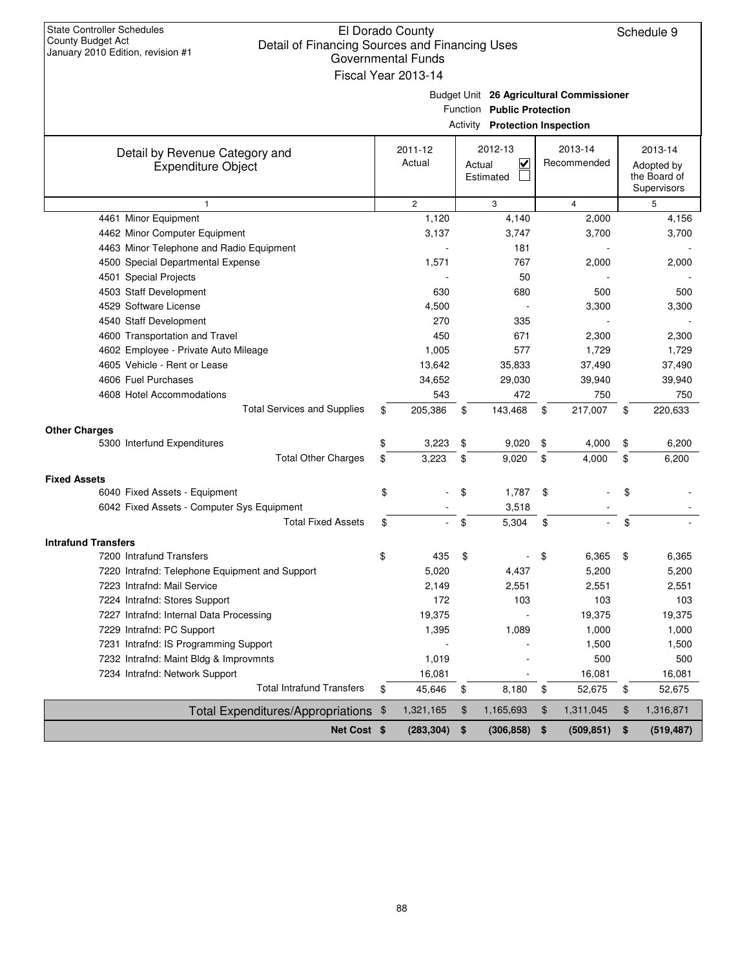| <b>State Controller Schedules</b><br>El Dorado County<br>Schedule 9<br>County Budget Act<br>Detail of Financing Sources and Financing Uses<br>January 2010 Edition, revision #1<br><b>Governmental Funds</b><br>Fiscal Year 2013-14 |                                                                                                          |                   |                                                |    |                        |    |                                                      |  |  |
|-------------------------------------------------------------------------------------------------------------------------------------------------------------------------------------------------------------------------------------|----------------------------------------------------------------------------------------------------------|-------------------|------------------------------------------------|----|------------------------|----|------------------------------------------------------|--|--|
|                                                                                                                                                                                                                                     | Budget Unit 26 Agricultural Commissioner<br>Function Public Protection<br>Activity Protection Inspection |                   |                                                |    |                        |    |                                                      |  |  |
| Detail by Revenue Category and<br><b>Expenditure Object</b>                                                                                                                                                                         |                                                                                                          | 2011-12<br>Actual | 2012-13<br>$\checkmark$<br>Actual<br>Estimated |    | 2013-14<br>Recommended |    | 2013-14<br>Adopted by<br>the Board of<br>Supervisors |  |  |
| 1                                                                                                                                                                                                                                   |                                                                                                          | $\mathbf{2}$      | 3                                              |    | $\overline{4}$         |    | 5                                                    |  |  |
| 4461 Minor Equipment                                                                                                                                                                                                                |                                                                                                          | 1,120             | 4,140                                          |    | 2,000                  |    | 4,156                                                |  |  |
| 4462 Minor Computer Equipment                                                                                                                                                                                                       |                                                                                                          | 3,137             | 3,747                                          |    | 3,700                  |    | 3,700                                                |  |  |
| 4463 Minor Telephone and Radio Equipment                                                                                                                                                                                            |                                                                                                          |                   | 181                                            |    |                        |    |                                                      |  |  |
| 4500 Special Departmental Expense                                                                                                                                                                                                   |                                                                                                          | 1,571             | 767                                            |    | 2,000                  |    | 2,000                                                |  |  |
| 4501 Special Projects                                                                                                                                                                                                               |                                                                                                          |                   | 50                                             |    |                        |    |                                                      |  |  |
| 4503 Staff Development                                                                                                                                                                                                              |                                                                                                          | 630               | 680                                            |    | 500                    |    | 500                                                  |  |  |
| 4529 Software License                                                                                                                                                                                                               |                                                                                                          | 4,500             |                                                |    | 3,300                  |    | 3,300                                                |  |  |
| 4540 Staff Development                                                                                                                                                                                                              |                                                                                                          | 270               | 335                                            |    |                        |    |                                                      |  |  |
| 4600 Transportation and Travel                                                                                                                                                                                                      |                                                                                                          | 450               | 671                                            |    | 2,300                  |    | 2,300                                                |  |  |
| 4602 Employee - Private Auto Mileage                                                                                                                                                                                                |                                                                                                          | 1,005             | 577                                            |    | 1,729                  |    | 1,729                                                |  |  |
| 4605 Vehicle - Rent or Lease                                                                                                                                                                                                        |                                                                                                          | 13,642            | 35,833                                         |    | 37,490                 |    | 37,490                                               |  |  |
| 4606 Fuel Purchases                                                                                                                                                                                                                 |                                                                                                          | 34,652            | 29,030                                         |    | 39,940                 |    | 39,940                                               |  |  |
| 4608 Hotel Accommodations                                                                                                                                                                                                           |                                                                                                          | 543               | 472                                            |    | 750                    |    | 750                                                  |  |  |
| <b>Total Services and Supplies</b>                                                                                                                                                                                                  | \$                                                                                                       | 205,386           | \$<br>143,468                                  | \$ | 217,007                | \$ | 220,633                                              |  |  |
| <b>Other Charges</b>                                                                                                                                                                                                                |                                                                                                          |                   |                                                |    |                        |    |                                                      |  |  |
| 5300 Interfund Expenditures                                                                                                                                                                                                         | \$                                                                                                       | 3,223             | \$<br>9,020                                    | \$ | 4,000                  | \$ | 6,200                                                |  |  |
| <b>Total Other Charges</b>                                                                                                                                                                                                          | \$                                                                                                       | 3,223             | \$<br>9,020                                    | \$ | 4,000                  | \$ | 6,200                                                |  |  |
| <b>Fixed Assets</b>                                                                                                                                                                                                                 |                                                                                                          |                   |                                                |    |                        |    |                                                      |  |  |
| 6040 Fixed Assets - Equipment                                                                                                                                                                                                       | \$                                                                                                       |                   | 1,787<br>\$                                    | \$ |                        | \$ |                                                      |  |  |
| 6042 Fixed Assets - Computer Sys Equipment                                                                                                                                                                                          |                                                                                                          |                   | 3,518                                          |    |                        |    |                                                      |  |  |
| <b>Total Fixed Assets</b>                                                                                                                                                                                                           | \$                                                                                                       |                   | \$<br>5,304                                    | \$ |                        | \$ |                                                      |  |  |
|                                                                                                                                                                                                                                     |                                                                                                          |                   |                                                |    |                        |    |                                                      |  |  |
| <b>Intrafund Transfers</b>                                                                                                                                                                                                          |                                                                                                          |                   |                                                |    |                        |    |                                                      |  |  |
| 7200 Intrafund Transfers                                                                                                                                                                                                            | \$                                                                                                       | 435               | \$                                             | \$ | 6,365                  | \$ | 6,365                                                |  |  |
| 7220 Intrafnd: Telephone Equipment and Support                                                                                                                                                                                      |                                                                                                          | 5,020             | 4,437                                          |    | 5,200                  |    | 5,200                                                |  |  |
| 7223 Intrafnd: Mail Service                                                                                                                                                                                                         |                                                                                                          | 2,149             | 2,551                                          |    | 2,551                  |    | 2,551                                                |  |  |
| 7224 Intrafnd: Stores Support                                                                                                                                                                                                       |                                                                                                          | 172               | 103                                            |    | 103                    |    | 103                                                  |  |  |
| 7227 Intrafnd: Internal Data Processing                                                                                                                                                                                             |                                                                                                          | 19,375            |                                                |    | 19,375                 |    | 19,375                                               |  |  |
| 7229 Intrafnd: PC Support                                                                                                                                                                                                           |                                                                                                          | 1,395             | 1,089                                          |    | 1,000                  |    | 1,000                                                |  |  |
| 7231 Intrafnd: IS Programming Support                                                                                                                                                                                               |                                                                                                          |                   |                                                |    | 1,500                  |    | 1,500                                                |  |  |
| 7232 Intrafnd: Maint Bldg & Improvmnts                                                                                                                                                                                              |                                                                                                          | 1,019             |                                                |    | 500                    |    | 500                                                  |  |  |
| 7234 Intrafnd: Network Support                                                                                                                                                                                                      |                                                                                                          | 16,081            |                                                |    | 16,081                 |    | 16,081                                               |  |  |
| <b>Total Intrafund Transfers</b>                                                                                                                                                                                                    | \$                                                                                                       | 45,646            | \$<br>8,180                                    | \$ | 52,675                 | \$ | 52,675                                               |  |  |
| Total Expenditures/Appropriations \$                                                                                                                                                                                                |                                                                                                          | 1,321,165         | \$<br>1,165,693                                | \$ | 1,311,045              | \$ | 1,316,871                                            |  |  |
| Net Cost \$                                                                                                                                                                                                                         |                                                                                                          | (283, 304)        | \$<br>(306, 858)                               | \$ | (509, 851)             | \$ | (519, 487)                                           |  |  |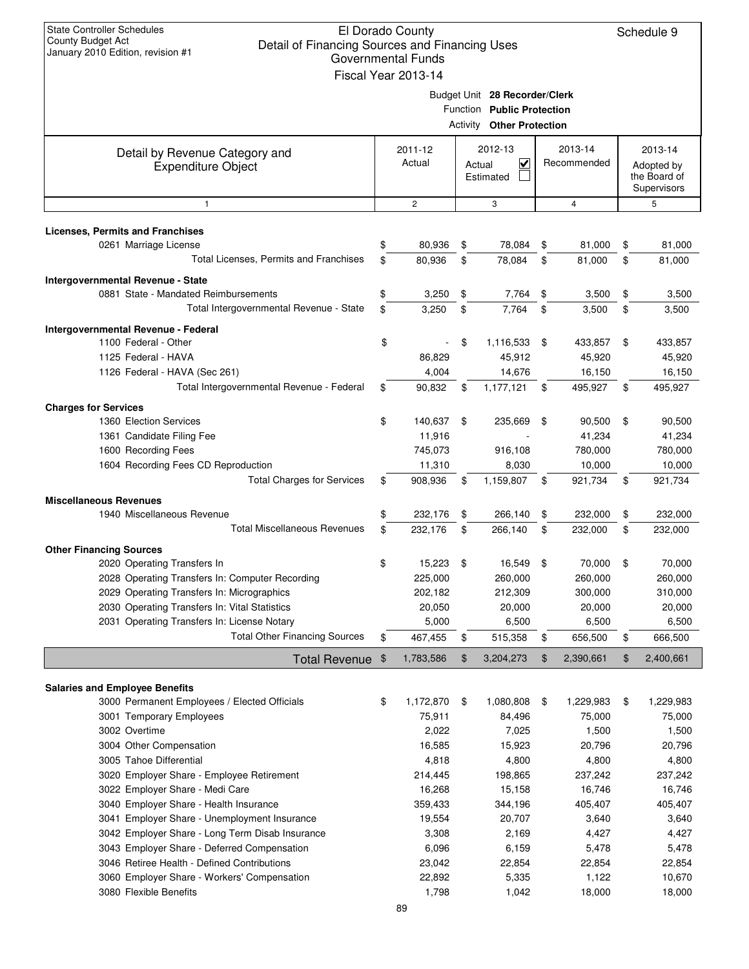| <b>State Controller Schedules</b><br>El Dorado County<br>Schedule 9<br><b>County Budget Act</b><br>Detail of Financing Sources and Financing Uses<br>January 2010 Edition, revision #1<br><b>Governmental Funds</b><br>Fiscal Year 2013-14 |    |                   |    |                                                                                                 |    |                        |    |                                                      |
|--------------------------------------------------------------------------------------------------------------------------------------------------------------------------------------------------------------------------------------------|----|-------------------|----|-------------------------------------------------------------------------------------------------|----|------------------------|----|------------------------------------------------------|
|                                                                                                                                                                                                                                            |    |                   |    | Budget Unit 28 Recorder/Clerk<br>Function Public Protection<br><b>Activity Other Protection</b> |    |                        |    |                                                      |
| Detail by Revenue Category and<br><b>Expenditure Object</b>                                                                                                                                                                                |    | 2011-12<br>Actual |    | 2012-13<br>$\overline{\mathsf{v}}$<br>Actual<br>Estimated                                       |    | 2013-14<br>Recommended |    | 2013-14<br>Adopted by<br>the Board of<br>Supervisors |
| $\mathbf{1}$                                                                                                                                                                                                                               |    | $\mathbf{2}$      |    | 3                                                                                               |    | $\overline{4}$         |    | 5                                                    |
| <b>Licenses, Permits and Franchises</b><br>0261 Marriage License                                                                                                                                                                           | \$ | 80,936            | \$ | 78,084                                                                                          | \$ | 81,000                 | \$ | 81,000                                               |
| Total Licenses, Permits and Franchises                                                                                                                                                                                                     | \$ | 80,936            | \$ | 78,084                                                                                          | \$ | 81,000                 | \$ | 81,000                                               |
| Intergovernmental Revenue - State                                                                                                                                                                                                          |    |                   |    |                                                                                                 |    |                        |    |                                                      |
| 0881 State - Mandated Reimbursements                                                                                                                                                                                                       | \$ | 3,250             | \$ | 7,764                                                                                           | \$ | 3,500                  | \$ | 3,500                                                |
| Total Intergovernmental Revenue - State                                                                                                                                                                                                    | \$ | 3,250             | \$ | 7,764                                                                                           | \$ | 3,500                  | \$ | 3,500                                                |
| Intergovernmental Revenue - Federal                                                                                                                                                                                                        |    |                   |    |                                                                                                 |    |                        |    |                                                      |
| 1100 Federal - Other<br>1125 Federal - HAVA                                                                                                                                                                                                | \$ | 86,829            | \$ | 1,116,533<br>45,912                                                                             | \$ | 433,857<br>45,920      | \$ | 433,857<br>45,920                                    |
| 1126 Federal - HAVA (Sec 261)                                                                                                                                                                                                              |    | 4,004             |    | 14,676                                                                                          |    | 16,150                 |    | 16,150                                               |
| Total Intergovernmental Revenue - Federal                                                                                                                                                                                                  | \$ | 90,832            | \$ | 1,177,121                                                                                       | \$ | 495,927                | \$ | 495,927                                              |
| <b>Charges for Services</b>                                                                                                                                                                                                                |    |                   |    |                                                                                                 |    |                        |    |                                                      |
| 1360 Election Services                                                                                                                                                                                                                     | \$ | 140,637           | \$ | 235,669                                                                                         | \$ | 90,500                 | \$ | 90,500                                               |
| 1361 Candidate Filing Fee                                                                                                                                                                                                                  |    | 11,916            |    |                                                                                                 |    | 41,234                 |    | 41,234                                               |
| 1600 Recording Fees                                                                                                                                                                                                                        |    | 745,073           |    | 916,108                                                                                         |    | 780,000                |    | 780,000                                              |
| 1604 Recording Fees CD Reproduction                                                                                                                                                                                                        |    | 11,310            |    | 8,030                                                                                           |    | 10,000                 |    | 10,000                                               |
| <b>Total Charges for Services</b>                                                                                                                                                                                                          | \$ | 908,936           | \$ | 1,159,807                                                                                       | \$ | 921,734                | \$ | 921,734                                              |
| <b>Miscellaneous Revenues</b>                                                                                                                                                                                                              |    |                   |    |                                                                                                 |    |                        |    |                                                      |
| 1940 Miscellaneous Revenue                                                                                                                                                                                                                 | \$ | 232,176           | \$ | 266,140                                                                                         | \$ | 232,000                | \$ | 232,000                                              |
| <b>Total Miscellaneous Revenues</b>                                                                                                                                                                                                        | \$ | 232,176           | \$ | 266,140                                                                                         | \$ | 232,000                | \$ | 232,000                                              |
| <b>Other Financing Sources</b>                                                                                                                                                                                                             |    |                   |    |                                                                                                 |    |                        |    |                                                      |
| 2020 Operating Transfers In                                                                                                                                                                                                                | \$ | 15,223            | \$ | 16,549                                                                                          | \$ | 70,000                 | \$ | 70,000                                               |
| 2028 Operating Transfers In: Computer Recording                                                                                                                                                                                            |    | 225,000           |    | 260,000                                                                                         |    | 260,000                |    | 260,000                                              |
| 2029 Operating Transfers In: Micrographics                                                                                                                                                                                                 |    | 202,182           |    | 212,309                                                                                         |    | 300,000                |    | 310,000                                              |
| 2030 Operating Transfers In: Vital Statistics                                                                                                                                                                                              |    | 20,050            |    | 20,000                                                                                          |    | 20,000                 |    | 20,000                                               |
| 2031 Operating Transfers In: License Notary<br><b>Total Other Financing Sources</b>                                                                                                                                                        | \$ | 5,000<br>467,455  |    | 6,500<br>515,358                                                                                |    | 6,500                  |    | 6,500                                                |
|                                                                                                                                                                                                                                            |    |                   | \$ |                                                                                                 | \$ | 656,500                | \$ | 666,500                                              |
| <b>Total Revenue</b>                                                                                                                                                                                                                       | \$ | 1,783,586         | \$ | 3,204,273                                                                                       | \$ | 2,390,661              | \$ | 2,400,661                                            |
| <b>Salaries and Employee Benefits</b>                                                                                                                                                                                                      |    |                   |    |                                                                                                 |    |                        |    |                                                      |
| 3000 Permanent Employees / Elected Officials                                                                                                                                                                                               | \$ | 1,172,870         | \$ | 1,080,808                                                                                       | \$ | 1,229,983              | \$ | 1,229,983                                            |
| 3001 Temporary Employees                                                                                                                                                                                                                   |    | 75,911            |    | 84,496                                                                                          |    | 75,000                 |    | 75,000                                               |
| 3002 Overtime                                                                                                                                                                                                                              |    | 2,022             |    | 7,025                                                                                           |    | 1,500                  |    | 1,500                                                |
| 3004 Other Compensation                                                                                                                                                                                                                    |    | 16,585            |    | 15,923                                                                                          |    | 20,796                 |    | 20,796                                               |
| 3005 Tahoe Differential                                                                                                                                                                                                                    |    | 4,818             |    | 4,800                                                                                           |    | 4,800                  |    | 4,800                                                |
| 3020 Employer Share - Employee Retirement                                                                                                                                                                                                  |    | 214,445           |    | 198,865                                                                                         |    | 237,242                |    | 237,242                                              |
| 3022 Employer Share - Medi Care                                                                                                                                                                                                            |    | 16,268            |    | 15,158                                                                                          |    | 16,746                 |    | 16,746                                               |
| 3040 Employer Share - Health Insurance                                                                                                                                                                                                     |    | 359,433           |    | 344,196                                                                                         |    | 405,407                |    | 405,407                                              |
| 3041 Employer Share - Unemployment Insurance<br>3042 Employer Share - Long Term Disab Insurance                                                                                                                                            |    | 19,554<br>3,308   |    | 20,707<br>2,169                                                                                 |    | 3,640<br>4,427         |    | 3,640<br>4,427                                       |
| 3043 Employer Share - Deferred Compensation                                                                                                                                                                                                |    | 6,096             |    | 6,159                                                                                           |    | 5,478                  |    | 5,478                                                |
| 3046 Retiree Health - Defined Contributions                                                                                                                                                                                                |    | 23,042            |    | 22,854                                                                                          |    | 22,854                 |    | 22,854                                               |
| 3060 Employer Share - Workers' Compensation                                                                                                                                                                                                |    | 22,892            |    | 5,335                                                                                           |    | 1,122                  |    | 10,670                                               |
| 3080 Flexible Benefits                                                                                                                                                                                                                     |    | 1,798             |    | 1,042                                                                                           |    | 18,000                 |    | 18,000                                               |
|                                                                                                                                                                                                                                            |    | 89                |    |                                                                                                 |    |                        |    |                                                      |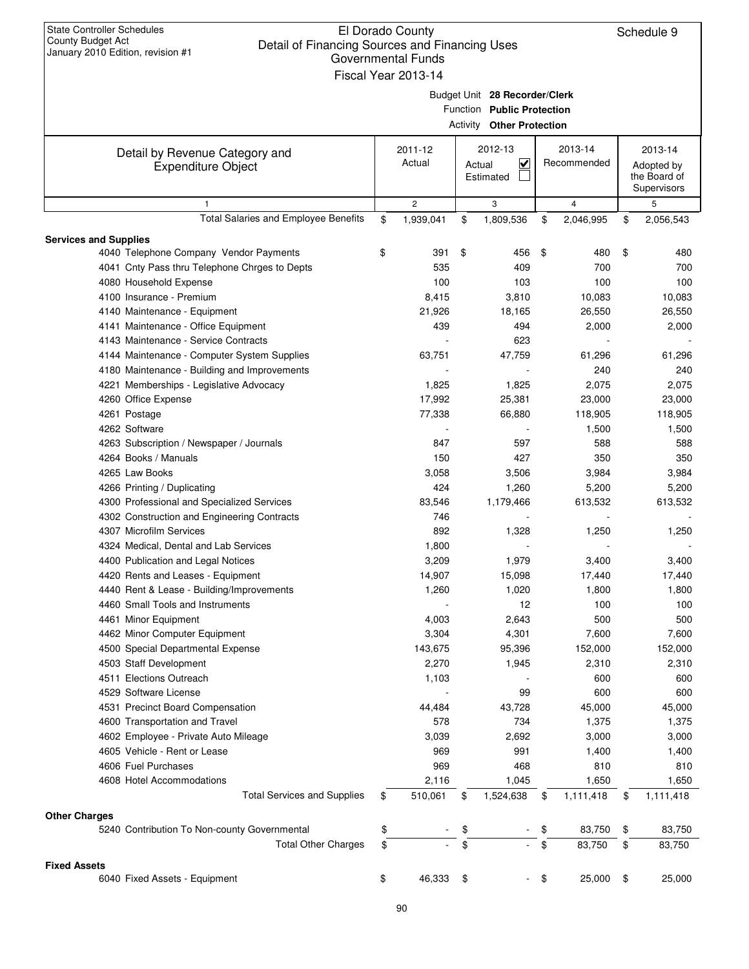| <b>State Controller Schedules</b><br>El Dorado County<br>Schedule 9<br>County Budget Act<br>Detail of Financing Sources and Financing Uses<br>January 2010 Edition, revision #1<br>Governmental Funds<br>Fiscal Year 2013-14 |    |                   |        |                                                                                                 |    |                        |    |                                                      |  |
|------------------------------------------------------------------------------------------------------------------------------------------------------------------------------------------------------------------------------|----|-------------------|--------|-------------------------------------------------------------------------------------------------|----|------------------------|----|------------------------------------------------------|--|
|                                                                                                                                                                                                                              |    |                   |        | Budget Unit 28 Recorder/Clerk<br>Function Public Protection<br><b>Activity Other Protection</b> |    |                        |    |                                                      |  |
| Detail by Revenue Category and<br><b>Expenditure Object</b>                                                                                                                                                                  |    | 2011-12<br>Actual | Actual | 2012-13<br>⊻<br>Estimated                                                                       |    | 2013-14<br>Recommended |    | 2013-14<br>Adopted by<br>the Board of<br>Supervisors |  |
| $\mathbf{1}$                                                                                                                                                                                                                 |    | $\mathbf{2}$      |        | 3                                                                                               |    | $\overline{4}$         |    | 5                                                    |  |
| Total Salaries and Employee Benefits                                                                                                                                                                                         | \$ | 1,939,041         | \$     | 1,809,536                                                                                       | \$ | 2,046,995              | \$ | 2,056,543                                            |  |
| <b>Services and Supplies</b>                                                                                                                                                                                                 |    |                   |        |                                                                                                 |    |                        |    |                                                      |  |
| 4040 Telephone Company Vendor Payments                                                                                                                                                                                       | \$ | 391               | \$     | 456                                                                                             | \$ | 480                    | \$ | 480                                                  |  |
| 4041 Cnty Pass thru Telephone Chrges to Depts                                                                                                                                                                                |    | 535               |        | 409                                                                                             |    | 700                    |    | 700                                                  |  |
| 4080 Household Expense                                                                                                                                                                                                       |    | 100               |        | 103                                                                                             |    | 100                    |    | 100                                                  |  |
| 4100 Insurance - Premium                                                                                                                                                                                                     |    | 8,415             |        | 3,810                                                                                           |    | 10,083                 |    | 10,083                                               |  |
| 4140 Maintenance - Equipment                                                                                                                                                                                                 |    | 21,926            |        | 18,165                                                                                          |    | 26,550                 |    | 26,550                                               |  |
| 4141 Maintenance - Office Equipment                                                                                                                                                                                          |    | 439               |        | 494                                                                                             |    | 2,000                  |    | 2,000                                                |  |
| 4143 Maintenance - Service Contracts                                                                                                                                                                                         |    |                   |        | 623                                                                                             |    |                        |    |                                                      |  |
| 4144 Maintenance - Computer System Supplies                                                                                                                                                                                  |    | 63,751            |        | 47,759                                                                                          |    | 61,296                 |    | 61,296                                               |  |
| 4180 Maintenance - Building and Improvements                                                                                                                                                                                 |    |                   |        |                                                                                                 |    | 240                    |    | 240                                                  |  |
| 4221 Memberships - Legislative Advocacy                                                                                                                                                                                      |    | 1,825             |        | 1,825                                                                                           |    | 2,075                  |    | 2,075                                                |  |
| 4260 Office Expense                                                                                                                                                                                                          |    | 17,992            |        | 25,381                                                                                          |    | 23,000                 |    | 23,000                                               |  |
| 4261 Postage                                                                                                                                                                                                                 |    | 77,338            |        | 66,880                                                                                          |    | 118,905                |    | 118,905                                              |  |
| 4262 Software                                                                                                                                                                                                                |    |                   |        |                                                                                                 |    | 1,500                  |    | 1,500                                                |  |
| 4263 Subscription / Newspaper / Journals                                                                                                                                                                                     |    | 847               |        | 597                                                                                             |    | 588                    |    | 588                                                  |  |
| 4264 Books / Manuals                                                                                                                                                                                                         |    | 150               |        | 427                                                                                             |    | 350                    |    | 350                                                  |  |
| 4265 Law Books                                                                                                                                                                                                               |    | 3,058             |        | 3,506                                                                                           |    | 3,984                  |    | 3,984                                                |  |
| 4266 Printing / Duplicating                                                                                                                                                                                                  |    | 424               |        | 1,260                                                                                           |    | 5,200                  |    | 5,200                                                |  |
| 4300 Professional and Specialized Services                                                                                                                                                                                   |    | 83,546            |        | 1,179,466                                                                                       |    | 613,532                |    | 613,532                                              |  |
| 4302 Construction and Engineering Contracts                                                                                                                                                                                  |    | 746               |        |                                                                                                 |    |                        |    |                                                      |  |
| 4307 Microfilm Services                                                                                                                                                                                                      |    | 892               |        | 1,328                                                                                           |    | 1,250                  |    | 1,250                                                |  |
| 4324 Medical, Dental and Lab Services                                                                                                                                                                                        |    | 1,800             |        |                                                                                                 |    |                        |    |                                                      |  |
| 4400 Publication and Legal Notices                                                                                                                                                                                           |    | 3,209             |        | 1,979                                                                                           |    | 3,400                  |    | 3,400                                                |  |
| 4420 Rents and Leases - Equipment                                                                                                                                                                                            |    | 14,907            |        | 15,098                                                                                          |    | 17,440                 |    | 17,440                                               |  |
| 4440 Rent & Lease - Building/Improvements                                                                                                                                                                                    |    | 1,260             |        | 1,020                                                                                           |    | 1,800                  |    | 1,800                                                |  |
| 4460 Small Tools and Instruments                                                                                                                                                                                             |    |                   |        | 12                                                                                              |    | 100                    |    | 100                                                  |  |
| 4461 Minor Equipment                                                                                                                                                                                                         |    | 4,003             |        | 2,643                                                                                           |    | 500                    |    | 500                                                  |  |
| 4462 Minor Computer Equipment                                                                                                                                                                                                |    | 3,304             |        | 4,301                                                                                           |    | 7,600                  |    | 7,600                                                |  |
| 4500 Special Departmental Expense                                                                                                                                                                                            |    | 143,675           |        | 95,396                                                                                          |    | 152,000                |    | 152,000                                              |  |
| 4503 Staff Development                                                                                                                                                                                                       |    | 2,270             |        | 1,945                                                                                           |    | 2,310                  |    | 2,310                                                |  |
| 4511 Elections Outreach                                                                                                                                                                                                      |    | 1,103             |        |                                                                                                 |    | 600                    |    | 600                                                  |  |
| 4529 Software License                                                                                                                                                                                                        |    |                   |        | 99                                                                                              |    | 600                    |    | 600                                                  |  |
| 4531 Precinct Board Compensation                                                                                                                                                                                             |    | 44,484            |        | 43,728                                                                                          |    | 45,000                 |    | 45,000                                               |  |
| 4600 Transportation and Travel                                                                                                                                                                                               |    | 578               |        | 734                                                                                             |    | 1,375                  |    | 1,375                                                |  |
| 4602 Employee - Private Auto Mileage                                                                                                                                                                                         |    | 3,039             |        | 2,692                                                                                           |    | 3,000                  |    | 3,000                                                |  |
| 4605 Vehicle - Rent or Lease                                                                                                                                                                                                 |    | 969               |        | 991                                                                                             |    | 1,400                  |    | 1,400                                                |  |
| 4606 Fuel Purchases                                                                                                                                                                                                          |    | 969               |        | 468                                                                                             |    | 810                    |    | 810                                                  |  |
| 4608 Hotel Accommodations                                                                                                                                                                                                    |    | 2,116             |        | 1,045                                                                                           |    | 1,650                  |    | 1,650                                                |  |
| <b>Total Services and Supplies</b>                                                                                                                                                                                           | \$ | 510,061           | \$     | 1,524,638                                                                                       | \$ | 1,111,418              | \$ | 1,111,418                                            |  |
| <b>Other Charges</b>                                                                                                                                                                                                         |    |                   |        |                                                                                                 |    |                        |    |                                                      |  |
| 5240 Contribution To Non-county Governmental                                                                                                                                                                                 | \$ |                   | \$     |                                                                                                 | \$ | 83,750                 | \$ | 83,750                                               |  |
| <b>Total Other Charges</b>                                                                                                                                                                                                   | \$ |                   | \$     |                                                                                                 | \$ | 83,750                 | \$ | 83,750                                               |  |
| <b>Fixed Assets</b>                                                                                                                                                                                                          |    |                   |        |                                                                                                 |    |                        |    |                                                      |  |
| 6040 Fixed Assets - Equipment                                                                                                                                                                                                | \$ | 46,333            | - \$   |                                                                                                 | \$ | 25,000                 | \$ | 25,000                                               |  |